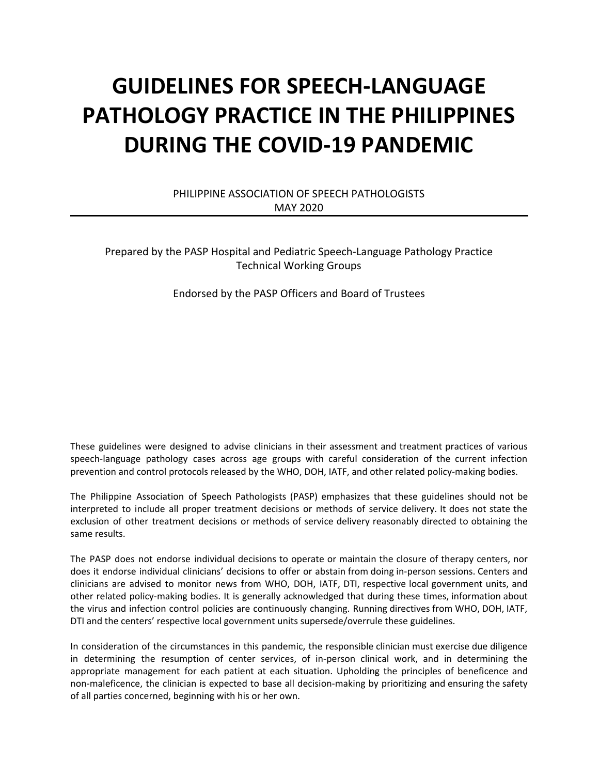# **GUIDELINES FOR SPEECH-LANGUAGE PATHOLOGY PRACTICE IN THE PHILIPPINES DURING THE COVID-19 PANDEMIC**

PHILIPPINE ASSOCIATION OF SPEECH PATHOLOGISTS MAY 2020

Prepared by the PASP Hospital and Pediatric Speech-Language Pathology Practice Technical Working Groups

Endorsed by the PASP Officers and Board of Trustees

These guidelines were designed to advise clinicians in their assessment and treatment practices of various speech-language pathology cases across age groups with careful consideration of the current infection prevention and control protocols released by the WHO, DOH, IATF, and other related policy-making bodies.

The Philippine Association of Speech Pathologists (PASP) emphasizes that these guidelines should not be interpreted to include all proper treatment decisions or methods of service delivery. It does not state the exclusion of other treatment decisions or methods of service delivery reasonably directed to obtaining the same results.

The PASP does not endorse individual decisions to operate or maintain the closure of therapy centers, nor does it endorse individual clinicians' decisions to offer or abstain from doing in-person sessions. Centers and clinicians are advised to monitor news from WHO, DOH, IATF, DTI, respective local government units, and other related policy-making bodies. It is generally acknowledged that during these times, information about the virus and infection control policies are continuously changing. Running directives from WHO, DOH, IATF, DTI and the centers' respective local government units supersede/overrule these guidelines.

In consideration of the circumstances in this pandemic, the responsible clinician must exercise due diligence in determining the resumption of center services, of in-person clinical work, and in determining the appropriate management for each patient at each situation. Upholding the principles of beneficence and non-maleficence, the clinician is expected to base all decision-making by prioritizing and ensuring the safety of all parties concerned, beginning with his or her own.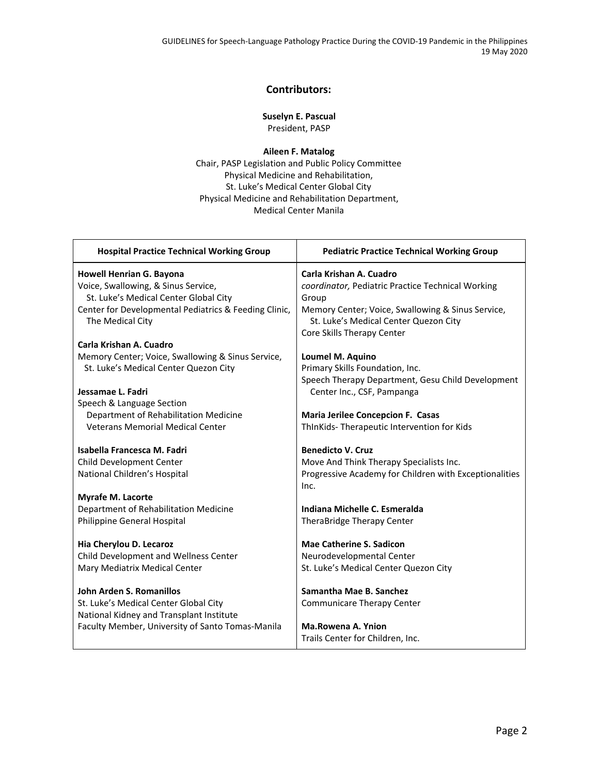GUIDELINES for Speech-Language Pathology Practice During the COVID-19 Pandemic in the Philippines 19 May 2020

#### **Contributors:**

**Suselyn E. Pascual**

President, PASP

**Aileen F. Matalog** Chair, PASP Legislation and Public Policy Committee Physical Medicine and Rehabilitation, St. Luke's Medical Center Global City Physical Medicine and Rehabilitation Department, Medical Center Manila

| <b>Hospital Practice Technical Working Group</b>                          | <b>Pediatric Practice Technical Working Group</b>                                                                        |
|---------------------------------------------------------------------------|--------------------------------------------------------------------------------------------------------------------------|
| Howell Henrian G. Bayona                                                  | Carla Krishan A. Cuadro                                                                                                  |
| Voice, Swallowing, & Sinus Service,                                       | coordinator, Pediatric Practice Technical Working                                                                        |
| St. Luke's Medical Center Global City                                     | Group                                                                                                                    |
| Center for Developmental Pediatrics & Feeding Clinic,<br>The Medical City | Memory Center; Voice, Swallowing & Sinus Service,<br>St. Luke's Medical Center Quezon City<br>Core Skills Therapy Center |
| Carla Krishan A. Cuadro                                                   |                                                                                                                          |
| Memory Center; Voice, Swallowing & Sinus Service,                         | Loumel M. Aquino                                                                                                         |
| St. Luke's Medical Center Quezon City                                     | Primary Skills Foundation, Inc.                                                                                          |
|                                                                           | Speech Therapy Department, Gesu Child Development                                                                        |
| Jessamae L. Fadri                                                         | Center Inc., CSF, Pampanga                                                                                               |
| Speech & Language Section                                                 |                                                                                                                          |
| Department of Rehabilitation Medicine                                     | Maria Jerilee Concepcion F. Casas                                                                                        |
| <b>Veterans Memorial Medical Center</b>                                   | ThInKids-Therapeutic Intervention for Kids                                                                               |
|                                                                           |                                                                                                                          |
| Isabella Francesca M. Fadri                                               | <b>Benedicto V. Cruz</b>                                                                                                 |
| Child Development Center                                                  | Move And Think Therapy Specialists Inc.                                                                                  |
| National Children's Hospital                                              | Progressive Academy for Children with Exceptionalities                                                                   |
|                                                                           | Inc.                                                                                                                     |
| <b>Myrafe M. Lacorte</b>                                                  |                                                                                                                          |
| Department of Rehabilitation Medicine                                     | Indiana Michelle C. Esmeralda                                                                                            |
| Philippine General Hospital                                               | TheraBridge Therapy Center                                                                                               |
|                                                                           |                                                                                                                          |
| Hia Cherylou D. Lecaroz                                                   | <b>Mae Catherine S. Sadicon</b>                                                                                          |
| Child Development and Wellness Center                                     | Neurodevelopmental Center                                                                                                |
| Mary Mediatrix Medical Center                                             | St. Luke's Medical Center Quezon City                                                                                    |
| <b>John Arden S. Romanillos</b>                                           | Samantha Mae B. Sanchez                                                                                                  |
| St. Luke's Medical Center Global City                                     | <b>Communicare Therapy Center</b>                                                                                        |
| National Kidney and Transplant Institute                                  |                                                                                                                          |
| Faculty Member, University of Santo Tomas-Manila                          | <b>Ma.Rowena A. Ynion</b>                                                                                                |
|                                                                           | Trails Center for Children, Inc.                                                                                         |
|                                                                           |                                                                                                                          |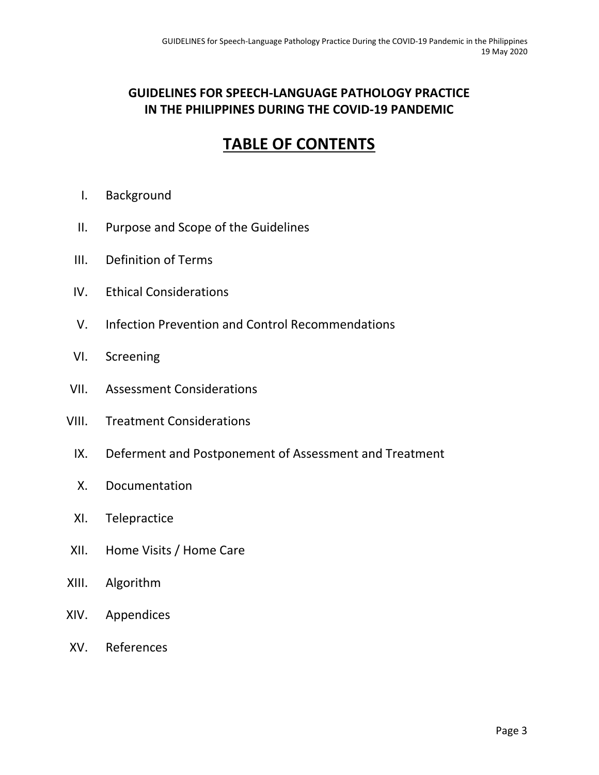## **GUIDELINES FOR SPEECH-LANGUAGE PATHOLOGY PRACTICE IN THE PHILIPPINES DURING THE COVID-19 PANDEMIC**

## **TABLE OF CONTENTS**

- I. Background
- II. Purpose and Scope of the Guidelines
- III. Definition of Terms
- IV. Ethical Considerations
- V. Infection Prevention and Control Recommendations
- VI. Screening
- VII. Assessment Considerations
- VIII. Treatment Considerations
	- IX. Deferment and Postponement of Assessment and Treatment
	- X. Documentation
	- XI. Telepractice
- XII. Home Visits / Home Care
- XIII. Algorithm
- XIV. Appendices
- XV. References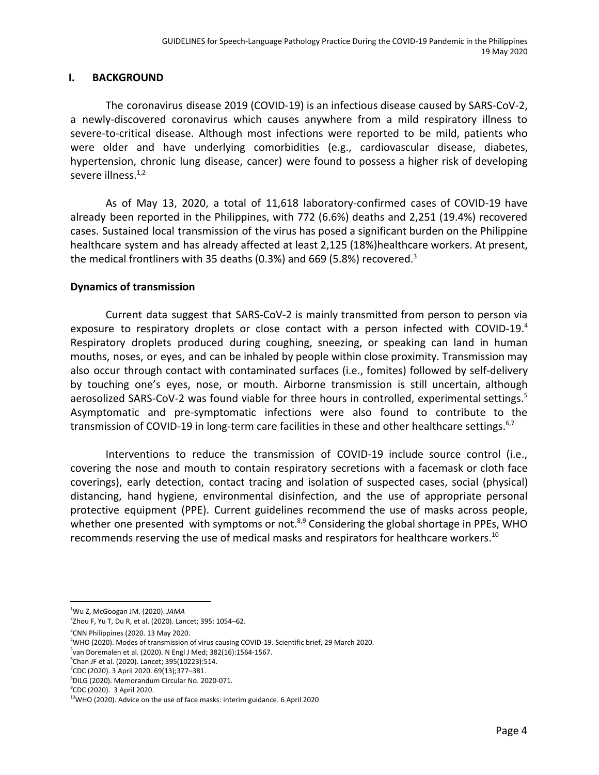## **I. BACKGROUND**

The coronavirus disease 2019 (COVID-19) is an infectious disease caused by SARS-CoV-2, a newly-discovered coronavirus which causes anywhere from a mild respiratory illness to severe-to-critical disease. Although most infections were reported to be mild, patients who were older and have underlying comorbidities (e.g., cardiovascular disease, diabetes, hypertension, chronic lung disease, cancer) were found to possess a higher risk of developing severe illness.<sup>1,2</sup>

As of May 13, 2020, a total of 11,618 laboratory-confirmed cases of COVID-19 have already been reported in the Philippines, with 772 (6.6%) deaths and 2,251 (19.4%) recovered cases. Sustained local transmission of the virus has posed a significant burden on the Philippine healthcare system and has already affected at least 2,125 (18%)healthcare workers. At present, the medical frontliners with 35 deaths (0.3%) and 669 (5.8%) recovered.<sup>3</sup>

## **Dynamics of transmission**

Current data suggest that SARS-CoV-2 is mainly transmitted from person to person via exposure to respiratory droplets or close contact with a person infected with COVID-19.<sup>4</sup> Respiratory droplets produced during coughing, sneezing, or speaking can land in human mouths, noses, or eyes, and can be inhaled by people within close proximity. Transmission may also occur through contact with contaminated surfaces (i.e., fomites) followed by self-delivery by touching one's eyes, nose, or mouth. Airborne transmission is still uncertain, although aerosolized SARS-CoV-2 was found viable for three hours in controlled, experimental settings.<sup>5</sup> Asymptomatic and pre-symptomatic infections were also found to contribute to the transmission of COVID-19 in long-term care facilities in these and other healthcare settings.<sup>6,7</sup>

Interventions to reduce the transmission of COVID-19 include source control (i.e., covering the nose and mouth to contain respiratory secretions with a facemask or cloth face coverings), early detection, contact tracing and isolation of suspected cases, social (physical) distancing, hand hygiene, environmental disinfection, and the use of appropriate personal protective equipment (PPE). Current guidelines recommend the use of masks across people, whether one presented with symptoms or not.<sup>8,9</sup> Considering the global shortage in PPEs, WHO recommends reserving the use of medical masks and respirators for healthcare workers.<sup>10</sup>

<sup>1</sup>Wu Z, McGoogan JM. (2020). *JAMA*

<sup>2</sup> Zhou F, Yu T, Du R, et al. (2020). Lancet; 395: 1054–62.

 $3$ CNN Philippines (2020. 13 May 2020.

<sup>4</sup>WHO (2020). Modes of transmission of virus causing COVID-19. Scientific brief, 29 March 2020.

<sup>5</sup> van Doremalen et al. (2020). N Engl J Med; 382(16):1564-1567.

<sup>&</sup>lt;sup>6</sup>Chan JF et al. (2020). Lancet; 395(10223):514.

<sup>7</sup>CDC (2020). 3 April 2020. 69(13);377–381.

 ${}^{8}$ DILG (2020). Memorandum Circular No. 2020-071.

<sup>&</sup>lt;sup>9</sup>CDC (2020). 3 April 2020.

<sup>&</sup>lt;sup>10</sup>WHO (2020). Advice on the use of face masks: interim guidance. 6 April 2020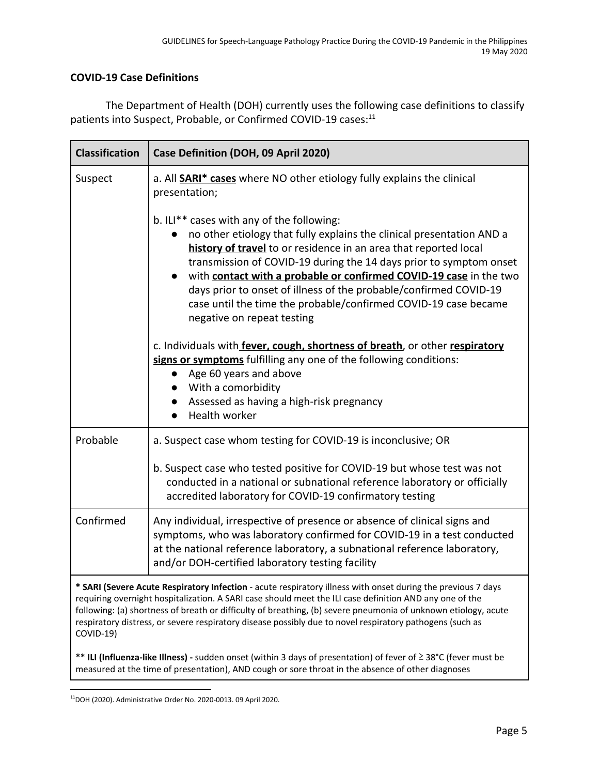## **COVID-19 Case Definitions**

The Department of Health (DOH) currently uses the following case definitions to classify patients into Suspect, Probable, or Confirmed COVID-19 cases:<sup>11</sup>

| <b>Classification</b> | Case Definition (DOH, 09 April 2020)                                                                                                                                                                                                                                                                                                                                                                                                                                                                     |  |
|-----------------------|----------------------------------------------------------------------------------------------------------------------------------------------------------------------------------------------------------------------------------------------------------------------------------------------------------------------------------------------------------------------------------------------------------------------------------------------------------------------------------------------------------|--|
| Suspect               | a. All <b>SARI* cases</b> where NO other etiology fully explains the clinical<br>presentation;                                                                                                                                                                                                                                                                                                                                                                                                           |  |
|                       | b. ILI** cases with any of the following:<br>no other etiology that fully explains the clinical presentation AND a<br>history of travel to or residence in an area that reported local<br>transmission of COVID-19 during the 14 days prior to symptom onset<br>with contact with a probable or confirmed COVID-19 case in the two<br>days prior to onset of illness of the probable/confirmed COVID-19<br>case until the time the probable/confirmed COVID-19 case became<br>negative on repeat testing |  |
|                       | c. Individuals with fever, cough, shortness of breath, or other respiratory<br>signs or symptoms fulfilling any one of the following conditions:<br>Age 60 years and above<br>With a comorbidity<br>Assessed as having a high-risk pregnancy<br>Health worker                                                                                                                                                                                                                                            |  |
| Probable              | a. Suspect case whom testing for COVID-19 is inconclusive; OR                                                                                                                                                                                                                                                                                                                                                                                                                                            |  |
|                       | b. Suspect case who tested positive for COVID-19 but whose test was not<br>conducted in a national or subnational reference laboratory or officially<br>accredited laboratory for COVID-19 confirmatory testing                                                                                                                                                                                                                                                                                          |  |
| Confirmed             | Any individual, irrespective of presence or absence of clinical signs and<br>symptoms, who was laboratory confirmed for COVID-19 in a test conducted<br>at the national reference laboratory, a subnational reference laboratory,<br>and/or DOH-certified laboratory testing facility                                                                                                                                                                                                                    |  |
| COVID-19)             | * SARI (Severe Acute Respiratory Infection - acute respiratory illness with onset during the previous 7 days<br>requiring overnight hospitalization. A SARI case should meet the ILI case definition AND any one of the<br>following: (a) shortness of breath or difficulty of breathing, (b) severe pneumonia of unknown etiology, acute<br>respiratory distress, or severe respiratory disease possibly due to novel respiratory pathogens (such as                                                    |  |
|                       | ** ILI (Influenza-like Illness) - sudden onset (within 3 days of presentation) of fever of ≥ 38°C (fever must be<br>measured at the time of presentation), AND cough or sore throat in the absence of other diagnoses                                                                                                                                                                                                                                                                                    |  |

<sup>11</sup>DOH (2020). Administrative Order No. 2020-0013. 09 April 2020.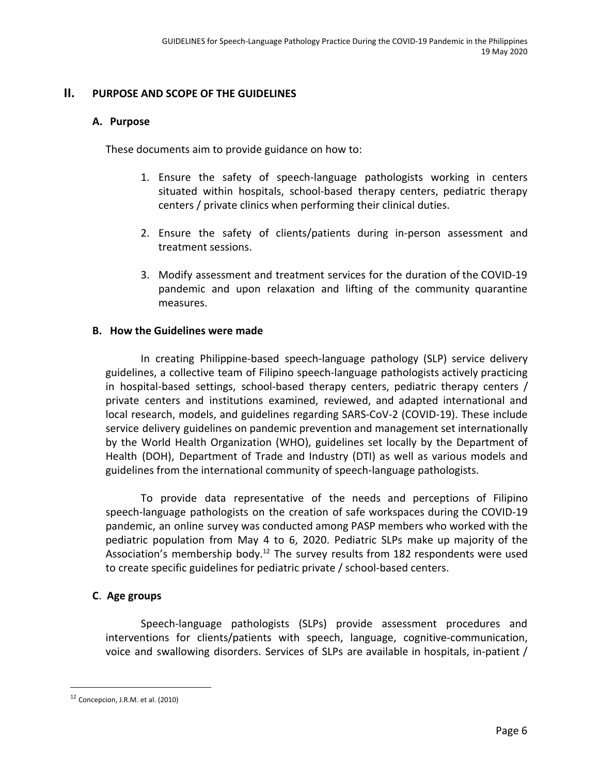## **II. PURPOSE AND SCOPE OF THE GUIDELINES**

#### **A. Purpose**

These documents aim to provide guidance on how to:

- 1. Ensure the safety of speech-language pathologists working in centers situated within hospitals, school-based therapy centers, pediatric therapy centers / private clinics when performing their clinical duties.
- 2. Ensure the safety of clients/patients during in-person assessment and treatment sessions.
- 3. Modify assessment and treatment services for the duration of the COVID-19 pandemic and upon relaxation and lifting of the community quarantine measures.

## **B. How the Guidelines were made**

In creating Philippine-based speech-language pathology (SLP) service delivery guidelines, a collective team of Filipino speech-language pathologists actively practicing in hospital-based settings, school-based therapy centers, pediatric therapy centers / private centers and institutions examined, reviewed, and adapted international and local research, models, and guidelines regarding SARS-CoV-2 (COVID-19). These include service delivery guidelines on pandemic prevention and management set internationally by the World Health Organization (WHO), guidelines set locally by the Department of Health (DOH), Department of Trade and Industry (DTI) as well as various models and guidelines from the international community of speech-language pathologists.

To provide data representative of the needs and perceptions of Filipino speech-language pathologists on the creation of safe workspaces during the COVID-19 pandemic, an online survey was conducted among PASP members who worked with the pediatric population from May 4 to 6, 2020. Pediatric SLPs make up majority of the Association's membership body.<sup>12</sup> The survey results from 182 respondents were used to create specific guidelines for pediatric private / school-based centers.

## **C**. **Age groups**

Speech-language pathologists (SLPs) provide assessment procedures and interventions for clients/patients with speech, language, cognitive-communication, voice and swallowing disorders. Services of SLPs are available in hospitals, in-patient /

<sup>12</sup> Concepcion, J.R.M. et al. (2010)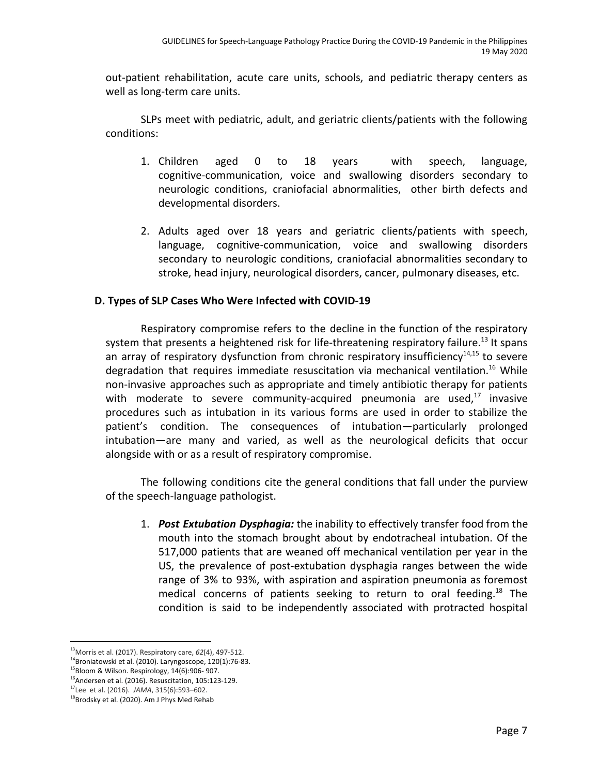out-patient rehabilitation, acute care units, schools, and pediatric therapy centers as well as long-term care units.

SLPs meet with pediatric, adult, and geriatric clients/patients with the following conditions:

- 1. Children aged 0 to 18 years with speech, language, cognitive-communication, voice and swallowing disorders secondary to neurologic conditions, craniofacial abnormalities, other birth defects and developmental disorders.
- 2. Adults aged over 18 years and geriatric clients/patients with speech, language, cognitive-communication, voice and swallowing disorders secondary to neurologic conditions, craniofacial abnormalities secondary to stroke, head injury, neurological disorders, cancer, pulmonary diseases, etc.

## **D. Types of SLP Cases Who Were Infected with COVID-19**

Respiratory compromise refers to the decline in the function of the respiratory system that presents a heightened risk for life-threatening respiratory failure.<sup>13</sup> It spans an array of respiratory dysfunction from chronic respiratory insufficiency<sup>14,15</sup> to severe degradation that requires immediate resuscitation via mechanical ventilation.<sup>16</sup> While non-invasive approaches such as appropriate and timely antibiotic therapy for patients with moderate to severe community-acquired pneumonia are used, $17$  invasive procedures such as intubation in its various forms are used in order to stabilize the patient's condition. The consequences of intubation—particularly prolonged intubation—are many and varied, as well as the neurological deficits that occur alongside with or as a result of respiratory compromise.

The following conditions cite the general conditions that fall under the purview of the speech-language pathologist.

1. *Post Extubation Dysphagia:* the inability to effectively transfer food from the mouth into the stomach brought about by endotracheal intubation. Of the 517,000 patients that are weaned off mechanical ventilation per year in the US, the prevalence of post-extubation dysphagia ranges between the wide range of 3% to 93%, with aspiration and aspiration pneumonia as foremost medical concerns of patients seeking to return to oral feeding.<sup>18</sup> The condition is said to be independently associated with protracted hospital

<sup>13</sup>Morris et al. (2017). Respiratory care, *62*(4), 497-512.

 $14$ Broniatowski et al. (2010). Laryngoscope, 120(1):76-83.

<sup>15</sup>Bloom & Wilson. Respirology, 14(6):906- 907.

<sup>&</sup>lt;sup>16</sup> Andersen et al. (2016). Resuscitation, 105:123-129.

<sup>17</sup> Lee et al. (2016). *JAMA*, 315(6):593–602.

<sup>&</sup>lt;sup>18</sup>Brodsky et al. (2020). Am J Phys Med Rehab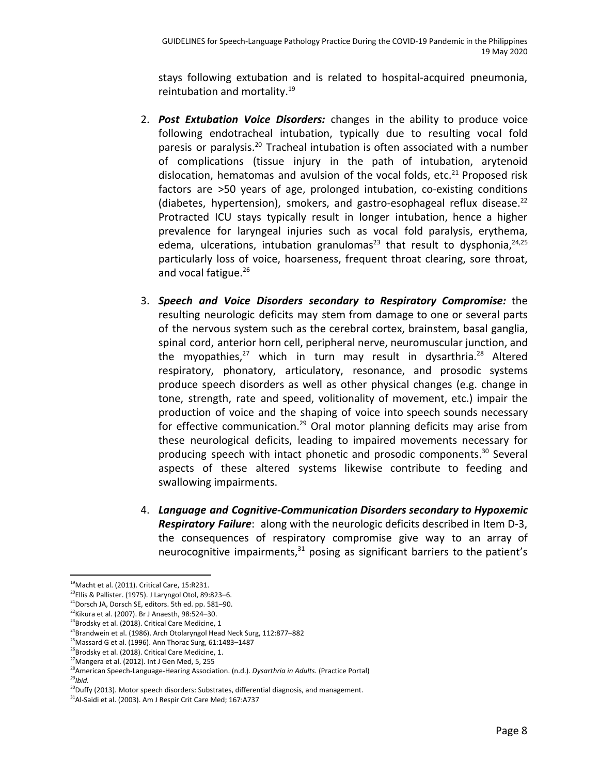stays following extubation and is related to hospital-acquired pneumonia, reintubation and mortality.<sup>19</sup>

- 2. *Post Extubation Voice Disorders:* changes in the ability to produce voice following endotracheal intubation, typically due to resulting vocal fold paresis or paralysis.<sup>20</sup> Tracheal intubation is often associated with a number of complications (tissue injury in the path of intubation, arytenoid dislocation, hematomas and avulsion of the vocal folds, etc. $^{21}$  Proposed risk factors are >50 years of age, prolonged intubation, co-existing conditions (diabetes, hypertension), smokers, and gastro-esophageal reflux disease. $^{22}$ Protracted ICU stays typically result in longer intubation, hence a higher prevalence for laryngeal injuries such as vocal fold paralysis, erythema, edema, ulcerations, intubation granulomas<sup>23</sup> that result to dysphonia,  $24,25$ particularly loss of voice, hoarseness, frequent throat clearing, sore throat, and vocal fatigue.<sup>26</sup>
- 3. *Speech and Voice Disorders secondary to Respiratory Compromise:* the resulting neurologic deficits may stem from damage to one or several parts of the nervous system such as the cerebral cortex, brainstem, basal ganglia, spinal cord, anterior horn cell, peripheral nerve, neuromuscular junction, and the myopathies,<sup>27</sup> which in turn may result in dysarthria.<sup>28</sup> Altered respiratory, phonatory, articulatory, resonance, and prosodic systems produce speech disorders as well as other physical changes (e.g. change in tone, strength, rate and speed, volitionality of movement, etc.) impair the production of voice and the shaping of voice into speech sounds necessary for effective communication.<sup>29</sup> Oral motor planning deficits may arise from these neurological deficits, leading to impaired movements necessary for producing speech with intact phonetic and prosodic components. $30$  Several aspects of these altered systems likewise contribute to feeding and swallowing impairments.
- 4. *Language and Cognitive-Communication Disorders secondary to Hypoxemic Respiratory Failure*: along with the neurologic deficits described in Item D-3, the consequences of respiratory compromise give way to an array of neurocognitive impairments, $31$  posing as significant barriers to the patient's

<sup>&</sup>lt;sup>19</sup> Macht et al. (2011). Critical Care, 15:R231.

 $^{20}$ Ellis & Pallister. (1975). J Laryngol Otol, 89:823-6.

<sup>21</sup>Dorsch JA, Dorsch SE, editors. 5th ed. pp. 581–90.

 $22$ Kikura et al. (2007). Br J Anaesth, 98:524-30.

<sup>&</sup>lt;sup>23</sup>Brodsky et al. (2018). Critical Care Medicine, 1

<sup>&</sup>lt;sup>24</sup>Brandwein et al. (1986). Arch Otolaryngol Head Neck Surg, 112:877-882

 $25$ Massard G et al. (1996). Ann Thorac Surg, 61:1483-1487

<sup>&</sup>lt;sup>26</sup>Brodsky et al. (2018). Critical Care Medicine, 1.

 $27$ Mangera et al. (2012). Int J Gen Med, 5, 255

<sup>28</sup>American Speech-Language-Hearing Association. (n.d.). *Dysarthria in Adults.* (Practice Portal) *29 Ibid.*

<sup>&</sup>lt;sup>30</sup>Duffy (2013). Motor speech disorders: Substrates, differential diagnosis, and management.

<sup>&</sup>lt;sup>31</sup>Al-Saidi et al. (2003). Am J Respir Crit Care Med; 167:A737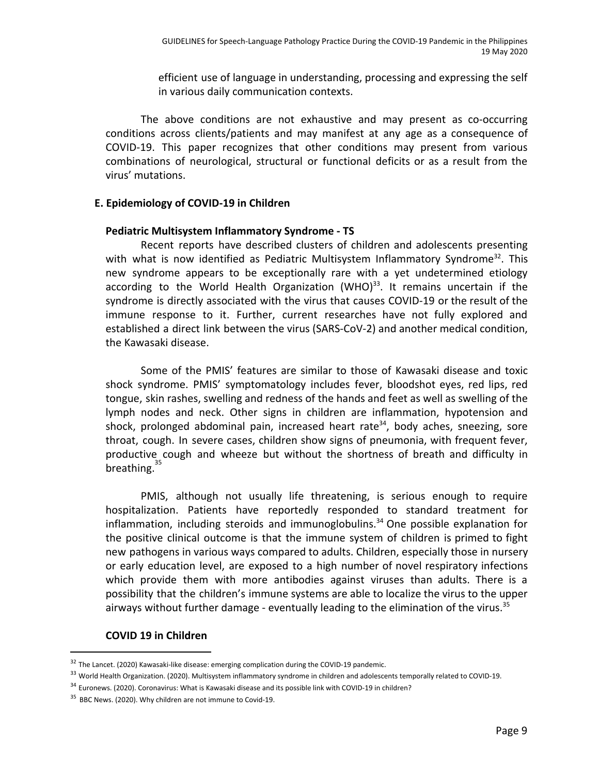efficient use of language in understanding, processing and expressing the self in various daily communication contexts.

The above conditions are not exhaustive and may present as co-occurring conditions across clients/patients and may manifest at any age as a consequence of COVID-19. This paper recognizes that other conditions may present from various combinations of neurological, structural or functional deficits or as a result from the virus' mutations.

## **E. Epidemiology of COVID-19 in Children**

#### **Pediatric Multisystem Inflammatory Syndrome - TS**

Recent reports have described clusters of children and adolescents presenting with what is now identified as Pediatric Multisystem Inflammatory Syndrome<sup>32</sup>. This new syndrome appears to be exceptionally rare with a yet undetermined etiology according to the World Health Organization (WHO) $^{33}$ . It remains uncertain if the syndrome is directly associated with the virus that causes COVID-19 or the result of the immune response to it. Further, current researches have not fully explored and established a direct link between the virus (SARS-CoV-2) and another medical condition, the Kawasaki disease.

Some of the PMIS' features are similar to those of Kawasaki disease and toxic shock syndrome. PMIS' symptomatology includes fever, bloodshot eyes, red lips, red tongue, skin rashes, swelling and redness of the hands and feet as well as swelling of the lymph nodes and neck. Other signs in children are inflammation, hypotension and shock, prolonged abdominal pain, increased heart rate<sup>34</sup>, body aches, sneezing, sore throat, cough. In severe cases, children show signs of pneumonia, with frequent fever, productive cough and wheeze but without the shortness of breath and difficulty in .<br>breathing. <sup>35</sup>

PMIS, although not usually life threatening, is serious enough to require hospitalization. Patients have reportedly responded to standard treatment for  $inflammation$ , including steroids and immunoglobulins.<sup>34</sup> One possible explanation for the positive clinical outcome is that the immune system of children is primed to fight new pathogens in various ways compared to adults. Children, especially those in nursery or early education level, are exposed to a high number of novel respiratory infections which provide them with more antibodies against viruses than adults. There is a possibility that the children's immune systems are able to localize the virus to the upper airways without further damage - eventually leading to the elimination of the virus.<sup>35</sup>

## **COVID 19 in Children**

<sup>&</sup>lt;sup>32</sup> The Lancet. (2020) Kawasaki-like disease: emerging complication during the COVID-19 pandemic.

<sup>&</sup>lt;sup>33</sup> World Health Organization. (2020). Multisystem inflammatory syndrome in children and adolescents temporally related to COVID-19.

<sup>&</sup>lt;sup>34</sup> Euronews. (2020). Coronavirus: What is Kawasaki disease and its possible link with COVID-19 in children?

<sup>&</sup>lt;sup>35</sup> BBC News. (2020). Why children are not immune to Covid-19.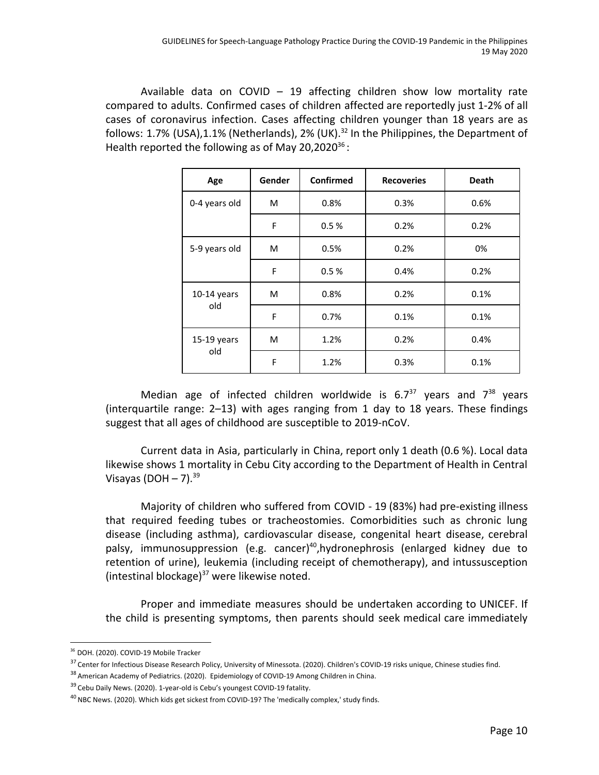Available data on COVID  $-$  19 affecting children show low mortality rate compared to adults. Confirmed cases of children affected are reportedly just 1-2% of all cases of coronavirus infection. Cases affecting children younger than 18 years are as follows: 1.7% (USA),1.1% (Netherlands), 2% (UK).<sup>32</sup> In the Philippines, the Department of Health reported the following as of May 20,2020 $^{36}$ :

| Age           | Gender | Confirmed | <b>Recoveries</b> | <b>Death</b> |
|---------------|--------|-----------|-------------------|--------------|
| 0-4 years old | M      | 0.8%      | 0.3%              | 0.6%         |
|               | F      | 0.5%      | 0.2%              | 0.2%         |
| 5-9 years old | M      | 0.5%      | 0.2%              | 0%           |
|               | F      | 0.5%      | 0.4%              | 0.2%         |
| $10-14$ years | М      | 0.8%      | 0.2%              | 0.1%         |
| old           | F      | 0.7%      | 0.1%              | 0.1%         |
| 15-19 years   | М      | 1.2%      | 0.2%              | 0.4%         |
| old           | F      | 1.2%      | 0.3%              | 0.1%         |

Median age of infected children worldwide is  $6.7^{37}$  years and  $7^{38}$  years (interquartile range: 2–13) with ages ranging from 1 day to 18 years. These findings suggest that all ages of childhood are susceptible to 2019-nCoV.

Current data in Asia, particularly in China, report only 1 death (0.6 %). Local data likewise shows 1 mortality in Cebu City according to the Department of Health in Central Visayas (DOH  $-7$ ).<sup>39</sup>

Majority of children who suffered from COVID - 19 (83%) had pre-existing illness that required feeding tubes or tracheostomies. Comorbidities such as chronic lung disease (including asthma), cardiovascular disease, congenital heart disease, cerebral palsy, immunosuppression (e.g. cancer)<sup>40</sup>, hydronephrosis (enlarged kidney due to retention of urine), leukemia (including receipt of chemotherapy), and intussusception (intestinal blockage)<sup>37</sup> were likewise noted.

Proper and immediate measures should be undertaken according to UNICEF. If the child is presenting symptoms, then parents should seek medical care immediately

<sup>&</sup>lt;sup>36</sup> DOH. (2020). COVID-19 Mobile Tracker

<sup>&</sup>lt;sup>37</sup> Center for Infectious Disease Research Policy, University of Minessota. (2020). Children's COVID-19 risks unique, Chinese studies find.

<sup>&</sup>lt;sup>38</sup> American Academy of Pediatrics. (2020). Epidemiology of COVID-19 Among Children in China.

<sup>&</sup>lt;sup>39</sup> Cebu Daily News. (2020). 1-year-old is Cebu's youngest COVID-19 fatality.

<sup>&</sup>lt;sup>40</sup> NBC News. (2020). Which kids get sickest from COVID-19? The 'medically complex,' study finds.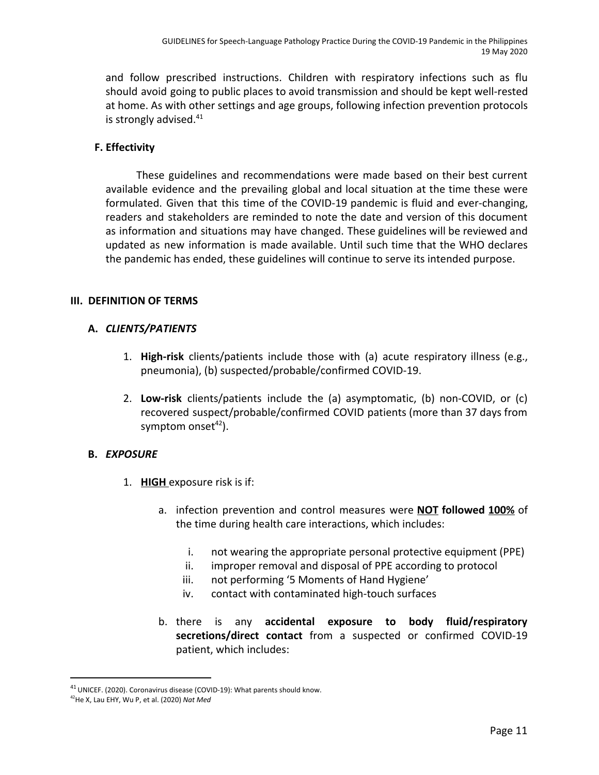and follow prescribed instructions. Children with respiratory infections such as flu should avoid going to public places to avoid transmission and should be kept well-rested at home. As with other settings and age groups, following infection prevention protocols is strongly advised. 41

## **F. Effectivity**

These guidelines and recommendations were made based on their best current available evidence and the prevailing global and local situation at the time these were formulated. Given that this time of the COVID-19 pandemic is fluid and ever-changing, readers and stakeholders are reminded to note the date and version of this document as information and situations may have changed. These guidelines will be reviewed and updated as new information is made available. Until such time that the WHO declares the pandemic has ended, these guidelines will continue to serve its intended purpose.

## **III. DEFINITION OF TERMS**

## **A.** *CLIENTS/PATIENTS*

- 1. **High-risk** clients/patients include those with (a) acute respiratory illness (e.g., pneumonia), (b) suspected/probable/confirmed COVID-19.
- 2. **Low-risk** clients/patients include the (a) asymptomatic, (b) non-COVID, or (c) recovered suspect/probable/confirmed COVID patients (more than 37 days from symptom onset $42$ ).

## **B.** *EXPOSURE*

- 1. **HIGH** exposure risk is if:
	- a. infection prevention and control measures were **NOT followed 100%** of the time during health care interactions, which includes:
		- i. not wearing the appropriate personal protective equipment (PPE)
		- ii. improper removal and disposal of PPE according to protocol
		- iii. not performing '5 Moments of Hand Hygiene'
		- iv. contact with contaminated high-touch surfaces
	- b. there is any **accidental exposure to body fluid/respiratory secretions/direct contact** from a suspected or confirmed COVID-19 patient, which includes:

<sup>&</sup>lt;sup>41</sup> UNICEF. (2020). Coronavirus disease (COVID-19): What parents should know.

<sup>42</sup>He X, Lau EHY, Wu P, et al. (2020) *Nat Med*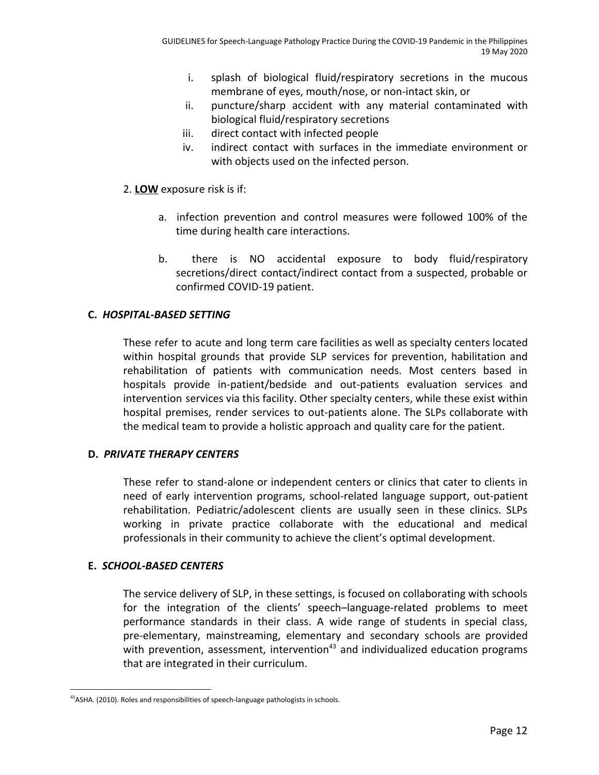- i. splash of biological fluid/respiratory secretions in the mucous membrane of eyes, mouth/nose, or non-intact skin, or
- ii. puncture/sharp accident with any material contaminated with biological fluid/respiratory secretions
- iii. direct contact with infected people
- iv. indirect contact with surfaces in the immediate environment or with objects used on the infected person.
- 2. **LOW** exposure risk is if:
	- a. infection prevention and control measures were followed 100% of the time during health care interactions.
	- b. there is NO accidental exposure to body fluid/respiratory secretions/direct contact/indirect contact from a suspected, probable or confirmed COVID-19 patient.

## **C.** *HOSPITAL-BASED SETTING*

These refer to acute and long term care facilities as well as specialty centers located within hospital grounds that provide SLP services for prevention, habilitation and rehabilitation of patients with communication needs. Most centers based in hospitals provide in-patient/bedside and out-patients evaluation services and intervention services via this facility. Other specialty centers, while these exist within hospital premises, render services to out-patients alone. The SLPs collaborate with the medical team to provide a holistic approach and quality care for the patient.

## **D.** *PRIVATE THERAPY CENTERS*

These refer to stand-alone or independent centers or clinics that cater to clients in need of early intervention programs, school-related language support, out-patient rehabilitation. Pediatric/adolescent clients are usually seen in these clinics. SLPs working in private practice collaborate with the educational and medical professionals in their community to achieve the client's optimal development.

## **E.** *SCHOOL-BASED CENTERS*

The service delivery of SLP, in these settings, is focused on collaborating with schools for the integration of the clients' speech–language-related problems to meet performance standards in their class. A wide range of students in special class, pre-elementary, mainstreaming, elementary and secondary schools are provided with prevention, assessment, intervention<sup>43</sup> and individualized education programs that are integrated in their curriculum.

<sup>&</sup>lt;sup>43</sup>ASHA. (2010). Roles and responsibilities of speech-language pathologists in schools.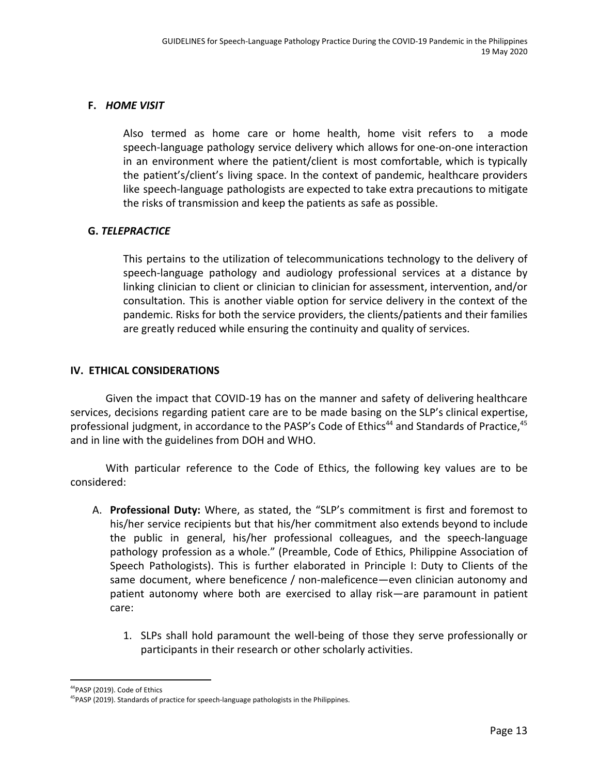## **F.** *HOME VISIT*

Also termed as home care or home health, home visit refers to a mode speech-language pathology service delivery which allows for one-on-one interaction in an environment where the patient/client is most comfortable, which is typically the patient's/client's living space. In the context of pandemic, healthcare providers like speech-language pathologists are expected to take extra precautions to mitigate the risks of transmission and keep the patients as safe as possible.

## **G.** *TELEPRACTICE*

This pertains to the utilization of telecommunications technology to the delivery of speech-language pathology and audiology professional services at a distance by linking clinician to client or clinician to clinician for assessment, intervention, and/or consultation. This is another viable option for service delivery in the context of the pandemic. Risks for both the service providers, the clients/patients and their families are greatly reduced while ensuring the continuity and quality of services.

## **IV. ETHICAL CONSIDERATIONS**

Given the impact that COVID-19 has on the manner and safety of delivering healthcare services, decisions regarding patient care are to be made basing on the SLP's clinical expertise, professional judgment, in accordance to the PASP's Code of Ethics<sup>44</sup> and Standards of Practice, <sup>45</sup> and in line with the guidelines from DOH and WHO.

With particular reference to the Code of Ethics, the following key values are to be considered:

- A. **Professional Duty:** Where, as stated, the "SLP's commitment is first and foremost to his/her service recipients but that his/her commitment also extends beyond to include the public in general, his/her professional colleagues, and the speech-language pathology profession as a whole." (Preamble, Code of Ethics, Philippine Association of Speech Pathologists). This is further elaborated in Principle I: Duty to Clients of the same document, where beneficence / non-maleficence—even clinician autonomy and patient autonomy where both are exercised to allay risk—are paramount in patient care:
	- 1. SLPs shall hold paramount the well-being of those they serve professionally or participants in their research or other scholarly activities.

<sup>&</sup>lt;sup>44</sup>PASP (2019). Code of Ethics

<sup>&</sup>lt;sup>45</sup>PASP (2019). Standards of practice for speech-language pathologists in the Philippines.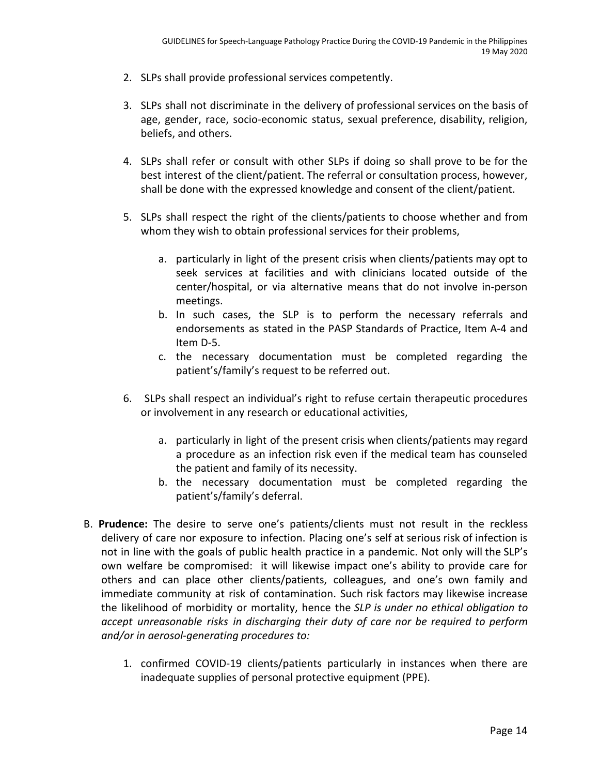- 2. SLPs shall provide professional services competently.
- 3. SLPs shall not discriminate in the delivery of professional services on the basis of age, gender, race, socio-economic status, sexual preference, disability, religion, beliefs, and others.
- 4. SLPs shall refer or consult with other SLPs if doing so shall prove to be for the best interest of the client/patient. The referral or consultation process, however, shall be done with the expressed knowledge and consent of the client/patient.
- 5. SLPs shall respect the right of the clients/patients to choose whether and from whom they wish to obtain professional services for their problems,
	- a. particularly in light of the present crisis when clients/patients may opt to seek services at facilities and with clinicians located outside of the center/hospital, or via alternative means that do not involve in-person meetings.
	- b. In such cases, the SLP is to perform the necessary referrals and endorsements as stated in the PASP Standards of Practice, Item A-4 and Item D-5.
	- c. the necessary documentation must be completed regarding the patient's/family's request to be referred out.
- 6. SLPs shall respect an individual's right to refuse certain therapeutic procedures or involvement in any research or educational activities,
	- a. particularly in light of the present crisis when clients/patients may regard a procedure as an infection risk even if the medical team has counseled the patient and family of its necessity.
	- b. the necessary documentation must be completed regarding the patient's/family's deferral.
- B. **Prudence:** The desire to serve one's patients/clients must not result in the reckless delivery of care nor exposure to infection. Placing one's self at serious risk of infection is not in line with the goals of public health practice in a pandemic. Not only will the SLP's own welfare be compromised: it will likewise impact one's ability to provide care for others and can place other clients/patients, colleagues, and one's own family and immediate community at risk of contamination. Such risk factors may likewise increase the likelihood of morbidity or mortality, hence the *SLP is under no ethical obligation to accept unreasonable risks in discharging their duty of care nor be required to perform and/or in aerosol-generating procedures to:*
	- 1. confirmed COVID-19 clients/patients particularly in instances when there are inadequate supplies of personal protective equipment (PPE).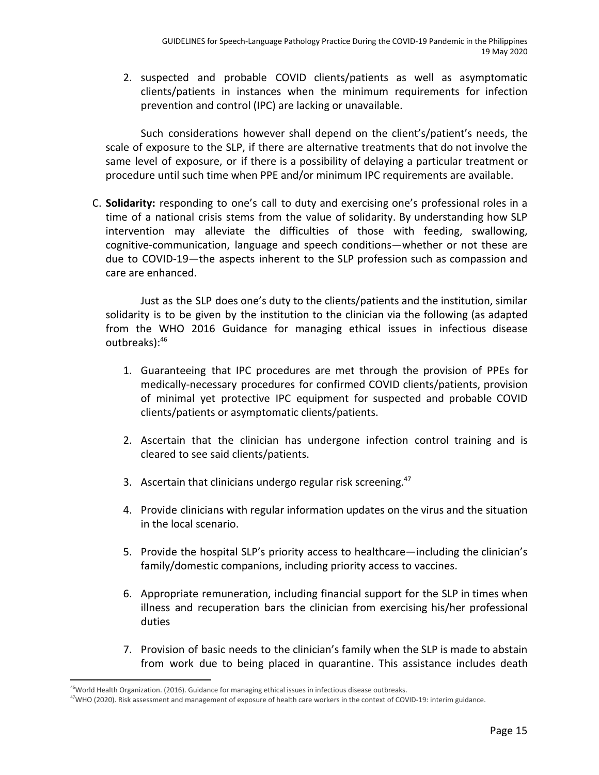2. suspected and probable COVID clients/patients as well as asymptomatic clients/patients in instances when the minimum requirements for infection prevention and control (IPC) are lacking or unavailable.

Such considerations however shall depend on the client's/patient's needs, the scale of exposure to the SLP, if there are alternative treatments that do not involve the same level of exposure, or if there is a possibility of delaying a particular treatment or procedure until such time when PPE and/or minimum IPC requirements are available.

C. **Solidarity:** responding to one's call to duty and exercising one's professional roles in a time of a national crisis stems from the value of solidarity. By understanding how SLP intervention may alleviate the difficulties of those with feeding, swallowing, cognitive-communication, language and speech conditions—whether or not these are due to COVID-19—the aspects inherent to the SLP profession such as compassion and care are enhanced.

Just as the SLP does one's duty to the clients/patients and the institution, similar solidarity is to be given by the institution to the clinician via the following (as adapted from the WHO 2016 Guidance for managing ethical issues in infectious disease outbreaks):<sup>46</sup>

- 1. Guaranteeing that IPC procedures are met through the provision of PPEs for medically-necessary procedures for confirmed COVID clients/patients, provision of minimal yet protective IPC equipment for suspected and probable COVID clients/patients or asymptomatic clients/patients.
- 2. Ascertain that the clinician has undergone infection control training and is cleared to see said clients/patients.
- 3. Ascertain that clinicians undergo regular risk screening.<sup>47</sup>
- 4. Provide clinicians with regular information updates on the virus and the situation in the local scenario.
- 5. Provide the hospital SLP's priority access to healthcare—including the clinician's family/domestic companions, including priority access to vaccines.
- 6. Appropriate remuneration, including financial support for the SLP in times when illness and recuperation bars the clinician from exercising his/her professional duties
- 7. Provision of basic needs to the clinician's family when the SLP is made to abstain from work due to being placed in quarantine. This assistance includes death

<sup>&</sup>lt;sup>46</sup>World Health Organization. (2016). Guidance for managing ethical issues in infectious disease outbreaks.

<sup>&</sup>lt;sup>47</sup>WHO (2020). Risk assessment and management of exposure of health care workers in the context of COVID-19: interim guidance.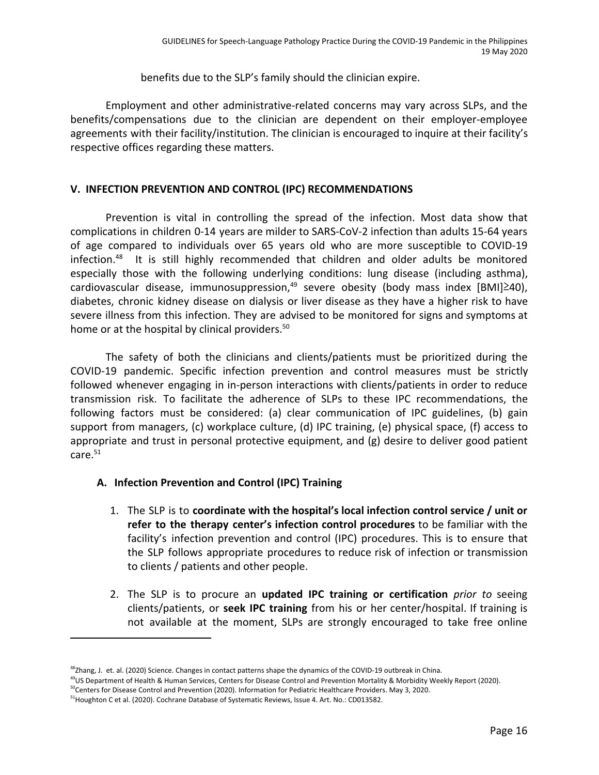benefits due to the SLP's family should the clinician expire.

Employment and other administrative-related concerns may vary across SLPs, and the benefits/compensations due to the clinician are dependent on their employer-employee agreements with their facility/institution. The clinician is encouraged to inquire at their facility's respective offices regarding these matters.

## **V. INFECTION PREVENTION AND CONTROL (IPC) RECOMMENDATIONS**

Prevention is vital in controlling the spread of the infection. Most data show that complications in children 0-14 years are milder to SARS-CoV-2 infection than adults 15-64 years of age compared to individuals over 65 years old who are more susceptible to COVID-19 infection. $48$  It is still highly recommended that children and older adults be monitored especially those with the following underlying conditions: lung disease (including asthma), cardiovascular disease, immunosuppression,<sup>49</sup> severe obesity (body mass index [BMI]<sup>240</sup>), diabetes, chronic kidney disease on dialysis or liver disease as they have a higher risk to have severe illness from this infection. They are advised to be monitored for signs and symptoms at home or at the hospital by clinical providers.<sup>50</sup>

The safety of both the clinicians and clients/patients must be prioritized during the COVID-19 pandemic. Specific infection prevention and control measures must be strictly followed whenever engaging in in-person interactions with clients/patients in order to reduce transmission risk. To facilitate the adherence of SLPs to these IPC recommendations, the following factors must be considered: (a) clear communication of IPC guidelines, (b) gain support from managers, (c) workplace culture, (d) IPC training, (e) physical space, (f) access to appropriate and trust in personal protective equipment, and (g) desire to deliver good patient  $care.<sup>51</sup>$ 

## **A. Infection Prevention and Control (IPC) Training**

- 1. The SLP is to **coordinate with the hospital's local infection control service / unit or refer to the therapy center's infection control procedures** to be familiar with the facility's infection prevention and control (IPC) procedures. This is to ensure that the SLP follows appropriate procedures to reduce risk of infection or transmission to clients / patients and other people.
- 2. The SLP is to procure an **updated IPC training or certification** *prior to* seeing clients/patients, or **seek IPC training** from his or her center/hospital. If training is not available at the moment, SLPs are strongly encouraged to take free online

<sup>&</sup>lt;sup>48</sup>Zhang, J. et. al. (2020) Science. Changes in contact patterns shape the dynamics of the COVID-19 outbreak in China.

<sup>&</sup>lt;sup>49</sup>US Department of Health & Human Services, Centers for Disease Control and Prevention Mortality & Morbidity Weekly Report (2020).

<sup>&</sup>lt;sup>50</sup>Centers for Disease Control and Prevention (2020). Information for Pediatric Healthcare Providers. May 3, 2020.

<sup>51</sup>Houghton C et al. (2020). Cochrane Database of Systematic Reviews, Issue 4. Art. No.: CD013582.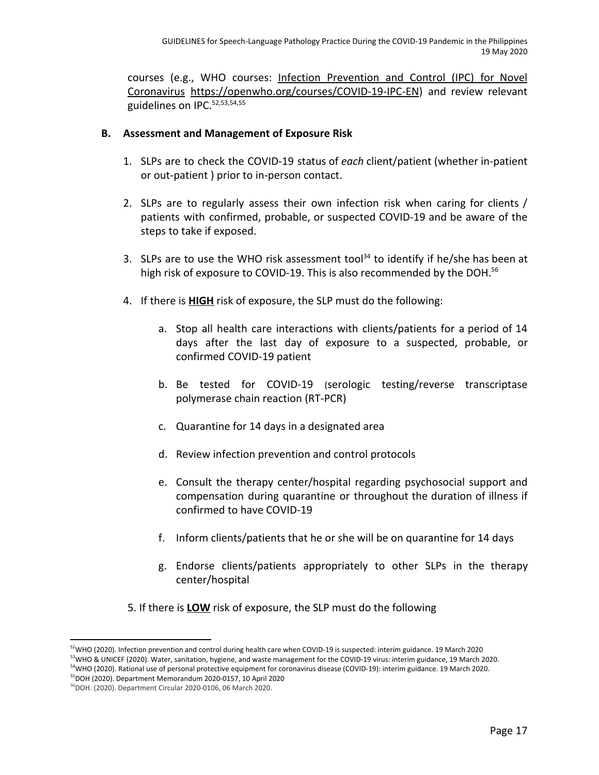courses (e.g., WHO courses: Infection [Prevention](https://openwho.org/courses/COVID-19-IPC-EN) and Control (IPC) for Novel [Coronavirus](https://openwho.org/courses/COVID-19-IPC-EN) <https://openwho.org/courses/COVID-19-IPC-EN>) and review relevant guidelines on IPC.52,53,54,55

## **B. Assessment and Management of Exposure Risk**

- 1. SLPs are to check the COVID-19 status of *each* client/patient (whether in-patient or out-patient ) prior to in-person contact.
- 2. SLPs are to regularly assess their own infection risk when caring for clients / patients with confirmed, probable, or suspected COVID-19 and be aware of the steps to take if exposed.
- 3. SLPs are to use the WHO risk assessment tool<sup>34</sup> to identify if he/she has been at high risk of exposure to COVID-19. This is also recommended by the DOH.<sup>56</sup>
- 4. If there is **HIGH** risk of exposure, the SLP must do the following:
	- a. Stop all health care interactions with clients/patients for a period of 14 days after the last day of exposure to a suspected, probable, or confirmed COVID-19 patient
	- b. Be tested for COVID-19 (serologic testing/reverse transcriptase polymerase chain reaction (RT-PCR)
	- c. Quarantine for 14 days in a designated area
	- d. Review infection prevention and control protocols
	- e. Consult the therapy center/hospital regarding psychosocial support and compensation during quarantine or throughout the duration of illness if confirmed to have COVID-19
	- f. Inform clients/patients that he or she will be on quarantine for 14 days
	- g. Endorse clients/patients appropriately to other SLPs in the therapy center/hospital
- 5. If there is **LOW** risk of exposure, the SLP must do the following

<sup>&</sup>lt;sup>52</sup>WHO (2020). Infection prevention and control during health care when COVID-19 is suspected: interim guidance. 19 March 2020 <sup>53</sup>WHO & UNICEF (2020). Water, sanitation, hygiene, and waste management for the COVID-19 virus: interim guidance, 19 March 2020. <sup>54</sup>WHO (2020). Rational use of personal protective equipment for coronavirus disease (COVID-19): interim guidance. 19 March 2020. <sup>55</sup>DOH (2020). Department Memorandum 2020-0157, 10 April 2020

<sup>56</sup>DOH. (2020). Department Circular 2020-0106, 06 March 2020.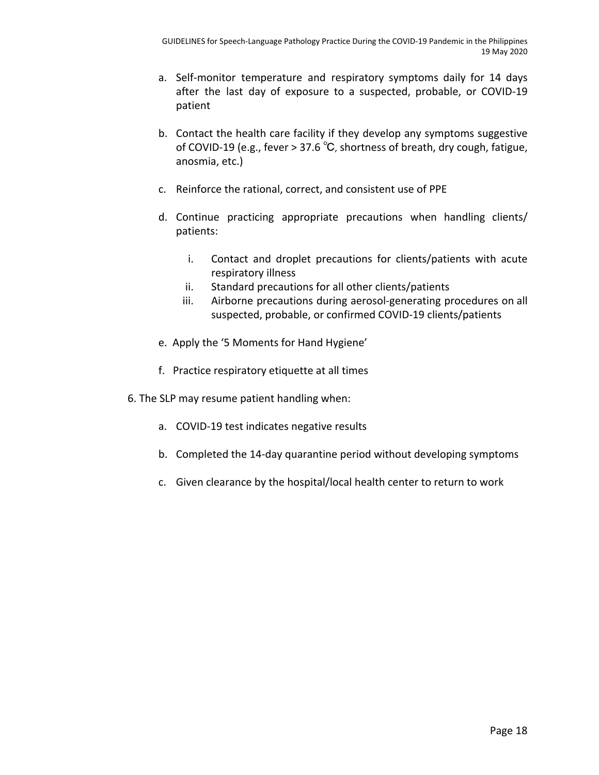- a. Self-monitor temperature and respiratory symptoms daily for 14 days after the last day of exposure to a suspected, probable, or COVID-19 patient
- b. Contact the health care facility if they develop any symptoms suggestive of COVID-19 (e.g., fever > 37.6 ℃, shortness of breath, dry cough, fatigue, anosmia, etc.)
- c. Reinforce the rational, correct, and consistent use of PPE
- d. Continue practicing appropriate precautions when handling clients/ patients:
	- i. Contact and droplet precautions for clients/patients with acute respiratory illness
	- ii. Standard precautions for all other clients/patients
	- iii. Airborne precautions during aerosol-generating procedures on all suspected, probable, or confirmed COVID-19 clients/patients
- e. Apply the '5 Moments for Hand Hygiene'
- f. Practice respiratory etiquette at all times
- 6. The SLP may resume patient handling when:
	- a. COVID-19 test indicates negative results
	- b. Completed the 14-day quarantine period without developing symptoms
	- c. Given clearance by the hospital/local health center to return to work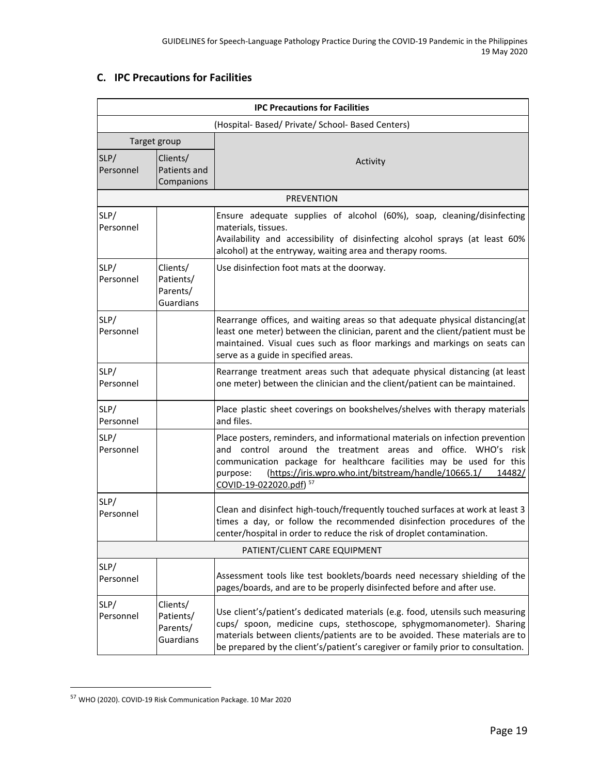## **C. IPC Precautions for Facilities**

|                   | <b>IPC Precautions for Facilities</b>             |                                                                                                                                                                                                                                                                                                                                            |  |  |
|-------------------|---------------------------------------------------|--------------------------------------------------------------------------------------------------------------------------------------------------------------------------------------------------------------------------------------------------------------------------------------------------------------------------------------------|--|--|
|                   | (Hospital- Based/ Private/ School- Based Centers) |                                                                                                                                                                                                                                                                                                                                            |  |  |
|                   | Target group                                      |                                                                                                                                                                                                                                                                                                                                            |  |  |
| SLP/<br>Personnel | Clients/<br>Patients and<br>Companions            | Activity                                                                                                                                                                                                                                                                                                                                   |  |  |
|                   |                                                   | <b>PREVENTION</b>                                                                                                                                                                                                                                                                                                                          |  |  |
| SLP/<br>Personnel |                                                   | Ensure adequate supplies of alcohol (60%), soap, cleaning/disinfecting<br>materials, tissues.<br>Availability and accessibility of disinfecting alcohol sprays (at least 60%<br>alcohol) at the entryway, waiting area and therapy rooms.                                                                                                  |  |  |
| SLP/<br>Personnel | Clients/<br>Patients/<br>Parents/<br>Guardians    | Use disinfection foot mats at the doorway.                                                                                                                                                                                                                                                                                                 |  |  |
| SLP/<br>Personnel |                                                   | Rearrange offices, and waiting areas so that adequate physical distancing(at<br>least one meter) between the clinician, parent and the client/patient must be<br>maintained. Visual cues such as floor markings and markings on seats can<br>serve as a guide in specified areas.                                                          |  |  |
| SLP/<br>Personnel |                                                   | Rearrange treatment areas such that adequate physical distancing (at least<br>one meter) between the clinician and the client/patient can be maintained.                                                                                                                                                                                   |  |  |
| SLP/<br>Personnel |                                                   | Place plastic sheet coverings on bookshelves/shelves with therapy materials<br>and files.                                                                                                                                                                                                                                                  |  |  |
| SLP/<br>Personnel |                                                   | Place posters, reminders, and informational materials on infection prevention<br>and control around the treatment areas and office. WHO's risk<br>communication package for healthcare facilities may be used for this<br>purpose:<br>(https://iris.wpro.who.int/bitstream/handle/10665.1/<br>14482/<br>COVID-19-022020.pdf) <sup>57</sup> |  |  |
| SLP/<br>Personnel |                                                   | Clean and disinfect high-touch/frequently touched surfaces at work at least 3<br>times a day, or follow the recommended disinfection procedures of the<br>center/hospital in order to reduce the risk of droplet contamination.                                                                                                            |  |  |
|                   |                                                   | PATIENT/CLIENT CARE EQUIPMENT                                                                                                                                                                                                                                                                                                              |  |  |
| SLP/<br>Personnel |                                                   | Assessment tools like test booklets/boards need necessary shielding of the<br>pages/boards, and are to be properly disinfected before and after use.                                                                                                                                                                                       |  |  |
| SLP/<br>Personnel | Clients/<br>Patients/<br>Parents/<br>Guardians    | Use client's/patient's dedicated materials (e.g. food, utensils such measuring<br>cups/ spoon, medicine cups, stethoscope, sphygmomanometer). Sharing<br>materials between clients/patients are to be avoided. These materials are to<br>be prepared by the client's/patient's caregiver or family prior to consultation.                  |  |  |

<sup>57</sup> WHO (2020). COVID-19 Risk Communication Package. 10 Mar 2020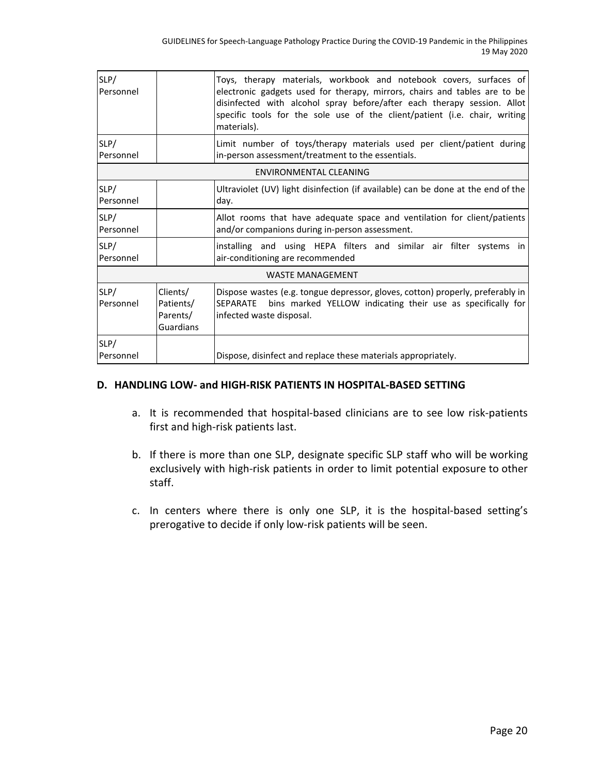| SLP/<br>Personnel |                                                | Toys, therapy materials, workbook and notebook covers, surfaces of<br>electronic gadgets used for therapy, mirrors, chairs and tables are to be<br>disinfected with alcohol spray before/after each therapy session. Allot<br>specific tools for the sole use of the client/patient (i.e. chair, writing<br>materials). |
|-------------------|------------------------------------------------|-------------------------------------------------------------------------------------------------------------------------------------------------------------------------------------------------------------------------------------------------------------------------------------------------------------------------|
| SLP/<br>Personnel |                                                | Limit number of toys/therapy materials used per client/patient during<br>in-person assessment/treatment to the essentials.                                                                                                                                                                                              |
|                   |                                                | ENVIRONMENTAL CLEANING                                                                                                                                                                                                                                                                                                  |
| SLP/<br>Personnel |                                                | Ultraviolet (UV) light disinfection (if available) can be done at the end of the<br>day.                                                                                                                                                                                                                                |
| SLP/<br>Personnel |                                                | Allot rooms that have adequate space and ventilation for client/patients<br>and/or companions during in-person assessment.                                                                                                                                                                                              |
| SLP/<br>Personnel |                                                | installing and using HEPA filters and similar air filter systems in<br>air-conditioning are recommended                                                                                                                                                                                                                 |
|                   |                                                | <b>WASTE MANAGEMENT</b>                                                                                                                                                                                                                                                                                                 |
| SLP/<br>Personnel | Clients/<br>Patients/<br>Parents/<br>Guardians | Dispose wastes (e.g. tongue depressor, gloves, cotton) properly, preferably in<br>SEPARATE<br>bins marked YELLOW indicating their use as specifically for<br>infected waste disposal.                                                                                                                                   |
| SLP/<br>Personnel |                                                | Dispose, disinfect and replace these materials appropriately.                                                                                                                                                                                                                                                           |

#### **D. HANDLING LOW- and HIGH-RISK PATIENTS IN HOSPITAL-BASED SETTING**

- a. It is recommended that hospital-based clinicians are to see low risk-patients first and high-risk patients last.
- b. If there is more than one SLP, designate specific SLP staff who will be working exclusively with high-risk patients in order to limit potential exposure to other staff.
- c. In centers where there is only one SLP, it is the hospital-based setting's prerogative to decide if only low-risk patients will be seen.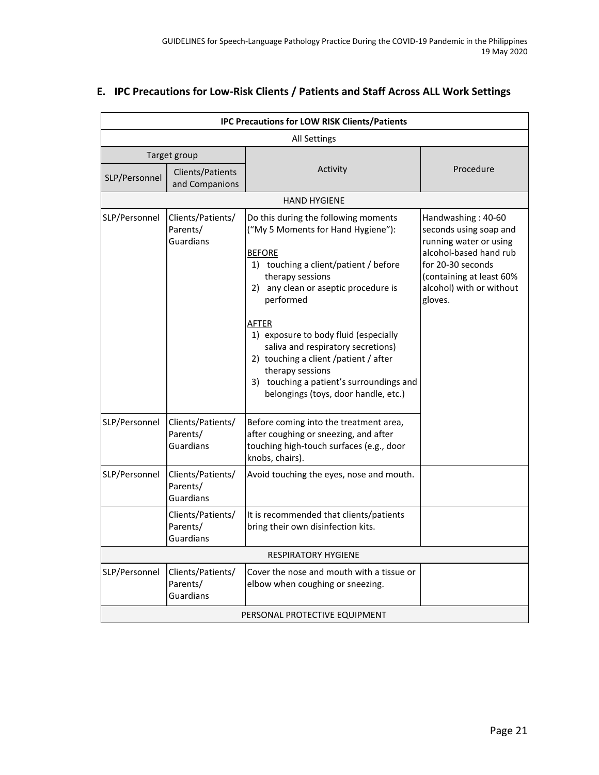| <b>IPC Precautions for LOW RISK Clients/Patients</b> |                                                   |                                                                                                                                                                                                                                                                                                                                                                                                                                                               |                                                                                                                                                                                          |
|------------------------------------------------------|---------------------------------------------------|---------------------------------------------------------------------------------------------------------------------------------------------------------------------------------------------------------------------------------------------------------------------------------------------------------------------------------------------------------------------------------------------------------------------------------------------------------------|------------------------------------------------------------------------------------------------------------------------------------------------------------------------------------------|
|                                                      | All Settings                                      |                                                                                                                                                                                                                                                                                                                                                                                                                                                               |                                                                                                                                                                                          |
| Target group                                         |                                                   |                                                                                                                                                                                                                                                                                                                                                                                                                                                               |                                                                                                                                                                                          |
| SLP/Personnel                                        | Clients/Patients<br>and Companions                | Activity                                                                                                                                                                                                                                                                                                                                                                                                                                                      | Procedure                                                                                                                                                                                |
|                                                      |                                                   | <b>HAND HYGIENE</b>                                                                                                                                                                                                                                                                                                                                                                                                                                           |                                                                                                                                                                                          |
| SLP/Personnel                                        | Clients/Patients/<br>Parents/<br>Guardians        | Do this during the following moments<br>("My 5 Moments for Hand Hygiene"):<br><b>BEFORE</b><br>1) touching a client/patient / before<br>therapy sessions<br>2) any clean or aseptic procedure is<br>performed<br><u>AFTER</u><br>1) exposure to body fluid (especially<br>saliva and respiratory secretions)<br>2) touching a client /patient / after<br>therapy sessions<br>3) touching a patient's surroundings and<br>belongings (toys, door handle, etc.) | Handwashing: 40-60<br>seconds using soap and<br>running water or using<br>alcohol-based hand rub<br>for 20-30 seconds<br>(containing at least 60%<br>alcohol) with or without<br>gloves. |
| SLP/Personnel                                        | Clients/Patients/<br>Parents/<br><b>Guardians</b> | Before coming into the treatment area,<br>after coughing or sneezing, and after<br>touching high-touch surfaces (e.g., door<br>knobs, chairs).                                                                                                                                                                                                                                                                                                                |                                                                                                                                                                                          |
| SLP/Personnel                                        | Clients/Patients/<br>Parents/<br>Guardians        | Avoid touching the eyes, nose and mouth.                                                                                                                                                                                                                                                                                                                                                                                                                      |                                                                                                                                                                                          |
|                                                      | Clients/Patients/<br>Parents/<br>Guardians        | It is recommended that clients/patients<br>bring their own disinfection kits.                                                                                                                                                                                                                                                                                                                                                                                 |                                                                                                                                                                                          |
|                                                      |                                                   | <b>RESPIRATORY HYGIENE</b>                                                                                                                                                                                                                                                                                                                                                                                                                                    |                                                                                                                                                                                          |
| SLP/Personnel                                        | Clients/Patients/<br>Parents/<br>Guardians        | Cover the nose and mouth with a tissue or<br>elbow when coughing or sneezing.                                                                                                                                                                                                                                                                                                                                                                                 |                                                                                                                                                                                          |
|                                                      |                                                   | PERSONAL PROTECTIVE EQUIPMENT                                                                                                                                                                                                                                                                                                                                                                                                                                 |                                                                                                                                                                                          |

## **E. IPC Precautions for Low-Risk Clients / Patients and Staff Across ALL Work Settings**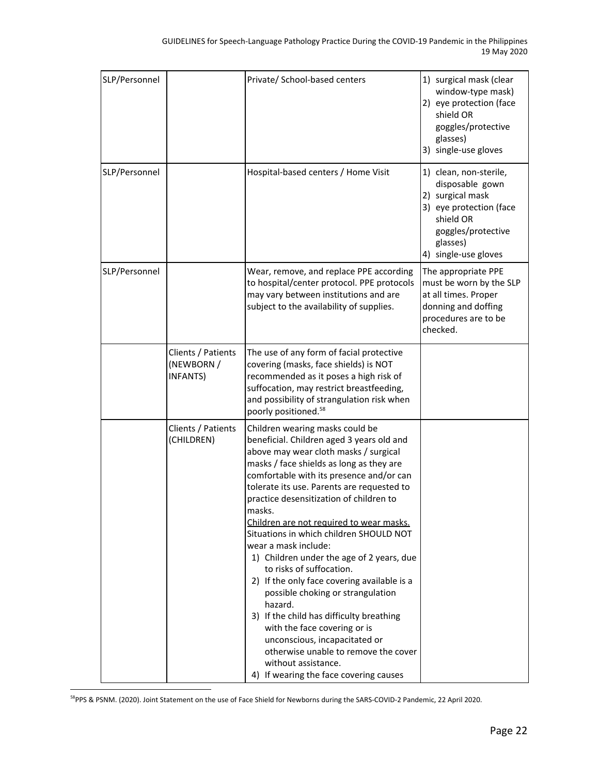| SLP/Personnel |                                              | Private/ School-based centers                                                                                                                                                                                                                                                                                                                                                                                                                                                                                                                                                                                                                                                                                                                                                                                                 | 1) surgical mask (clear<br>window-type mask)<br>2) eye protection (face<br>shield OR<br>goggles/protective<br>glasses)<br>3) single-use gloves                  |
|---------------|----------------------------------------------|-------------------------------------------------------------------------------------------------------------------------------------------------------------------------------------------------------------------------------------------------------------------------------------------------------------------------------------------------------------------------------------------------------------------------------------------------------------------------------------------------------------------------------------------------------------------------------------------------------------------------------------------------------------------------------------------------------------------------------------------------------------------------------------------------------------------------------|-----------------------------------------------------------------------------------------------------------------------------------------------------------------|
| SLP/Personnel |                                              | Hospital-based centers / Home Visit                                                                                                                                                                                                                                                                                                                                                                                                                                                                                                                                                                                                                                                                                                                                                                                           | 1) clean, non-sterile,<br>disposable gown<br>2) surgical mask<br>3) eye protection (face<br>shield OR<br>goggles/protective<br>glasses)<br>4) single-use gloves |
| SLP/Personnel |                                              | Wear, remove, and replace PPE according<br>to hospital/center protocol. PPE protocols<br>may vary between institutions and are<br>subject to the availability of supplies.                                                                                                                                                                                                                                                                                                                                                                                                                                                                                                                                                                                                                                                    | The appropriate PPE<br>must be worn by the SLP<br>at all times. Proper<br>donning and doffing<br>procedures are to be<br>checked.                               |
|               | Clients / Patients<br>(NEWBORN /<br>INFANTS) | The use of any form of facial protective<br>covering (masks, face shields) is NOT<br>recommended as it poses a high risk of<br>suffocation, may restrict breastfeeding,<br>and possibility of strangulation risk when<br>poorly positioned. <sup>58</sup>                                                                                                                                                                                                                                                                                                                                                                                                                                                                                                                                                                     |                                                                                                                                                                 |
|               | Clients / Patients<br>(CHILDREN)             | Children wearing masks could be<br>beneficial. Children aged 3 years old and<br>above may wear cloth masks / surgical<br>masks / face shields as long as they are<br>comfortable with its presence and/or can<br>tolerate its use. Parents are requested to<br>practice desensitization of children to<br>masks.<br>Children are not required to wear masks.<br>Situations in which children SHOULD NOT<br>wear a mask include:<br>1) Children under the age of 2 years, due<br>to risks of suffocation.<br>2) If the only face covering available is a<br>possible choking or strangulation<br>hazard.<br>3) If the child has difficulty breathing<br>with the face covering or is<br>unconscious, incapacitated or<br>otherwise unable to remove the cover<br>without assistance.<br>4) If wearing the face covering causes |                                                                                                                                                                 |

<sup>58</sup>PPS & PSNM. (2020). Joint Statement on the use of Face Shield for Newborns during the SARS-COVID-2 Pandemic, 22 April 2020.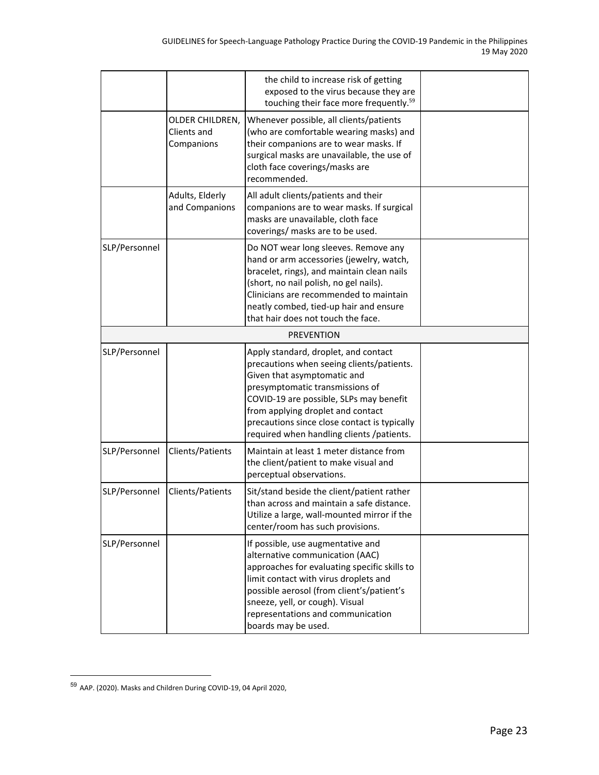|               |                                              | the child to increase risk of getting<br>exposed to the virus because they are<br>touching their face more frequently. <sup>59</sup>                                                                                                                                                                                             |  |
|---------------|----------------------------------------------|----------------------------------------------------------------------------------------------------------------------------------------------------------------------------------------------------------------------------------------------------------------------------------------------------------------------------------|--|
|               | OLDER CHILDREN,<br>Clients and<br>Companions | Whenever possible, all clients/patients<br>(who are comfortable wearing masks) and<br>their companions are to wear masks. If<br>surgical masks are unavailable, the use of<br>cloth face coverings/masks are<br>recommended.                                                                                                     |  |
|               | Adults, Elderly<br>and Companions            | All adult clients/patients and their<br>companions are to wear masks. If surgical<br>masks are unavailable, cloth face<br>coverings/ masks are to be used.                                                                                                                                                                       |  |
| SLP/Personnel |                                              | Do NOT wear long sleeves. Remove any<br>hand or arm accessories (jewelry, watch,<br>bracelet, rings), and maintain clean nails<br>(short, no nail polish, no gel nails).<br>Clinicians are recommended to maintain<br>neatly combed, tied-up hair and ensure<br>that hair does not touch the face.                               |  |
|               |                                              | <b>PREVENTION</b>                                                                                                                                                                                                                                                                                                                |  |
| SLP/Personnel |                                              | Apply standard, droplet, and contact<br>precautions when seeing clients/patients.<br>Given that asymptomatic and<br>presymptomatic transmissions of<br>COVID-19 are possible, SLPs may benefit<br>from applying droplet and contact<br>precautions since close contact is typically<br>required when handling clients /patients. |  |
| SLP/Personnel | Clients/Patients                             | Maintain at least 1 meter distance from<br>the client/patient to make visual and<br>perceptual observations.                                                                                                                                                                                                                     |  |
| SLP/Personnel | Clients/Patients                             | Sit/stand beside the client/patient rather<br>than across and maintain a safe distance.<br>Utilize a large, wall-mounted mirror if the<br>center/room has such provisions.                                                                                                                                                       |  |
| SLP/Personnel |                                              | If possible, use augmentative and<br>alternative communication (AAC)<br>approaches for evaluating specific skills to<br>limit contact with virus droplets and<br>possible aerosol (from client's/patient's<br>sneeze, yell, or cough). Visual<br>representations and communication<br>boards may be used.                        |  |

<sup>59</sup> AAP. (2020). Masks and Children During COVID-19, 04 April 2020,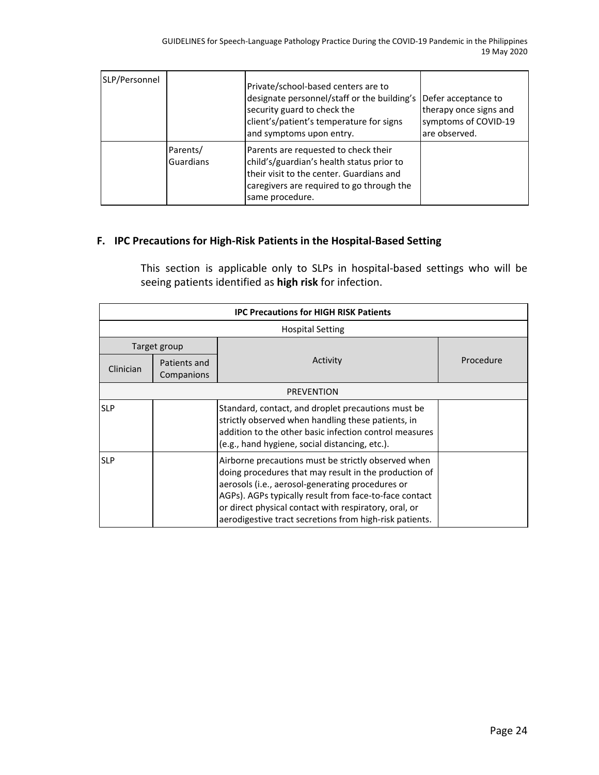| SLP/Personnel |                       | Private/school-based centers are to<br>designate personnel/staff or the building's<br>security guard to check the<br>client's/patient's temperature for signs<br>and symptoms upon entry.      | Defer acceptance to<br>therapy once signs and<br>symptoms of COVID-19<br>are observed. |
|---------------|-----------------------|------------------------------------------------------------------------------------------------------------------------------------------------------------------------------------------------|----------------------------------------------------------------------------------------|
|               | Parents/<br>Guardians | Parents are requested to check their<br>child's/guardian's health status prior to<br>ltheir visit to the center. Guardians and<br>caregivers are required to go through the<br>same procedure. |                                                                                        |

## **F. IPC Precautions for High-Risk Patients in the Hospital-Based Setting**

This section is applicable only to SLPs in hospital-based settings who will be seeing patients identified as **high risk** for infection.

| <b>IPC Precautions for HIGH RISK Patients</b> |                            |                                                                                                                                                                                                                                                                                                                                                |           |  |  |
|-----------------------------------------------|----------------------------|------------------------------------------------------------------------------------------------------------------------------------------------------------------------------------------------------------------------------------------------------------------------------------------------------------------------------------------------|-----------|--|--|
|                                               | <b>Hospital Setting</b>    |                                                                                                                                                                                                                                                                                                                                                |           |  |  |
|                                               | Target group               |                                                                                                                                                                                                                                                                                                                                                |           |  |  |
| Clinician                                     | Patients and<br>Companions | Activity                                                                                                                                                                                                                                                                                                                                       | Procedure |  |  |
| <b>PREVENTION</b>                             |                            |                                                                                                                                                                                                                                                                                                                                                |           |  |  |
| <b>SLP</b>                                    |                            | Standard, contact, and droplet precautions must be<br>strictly observed when handling these patients, in<br>addition to the other basic infection control measures<br>(e.g., hand hygiene, social distancing, etc.).                                                                                                                           |           |  |  |
| <b>SLP</b>                                    |                            | Airborne precautions must be strictly observed when<br>doing procedures that may result in the production of<br>aerosols (i.e., aerosol-generating procedures or<br>AGPs). AGPs typically result from face-to-face contact<br>or direct physical contact with respiratory, oral, or<br>aerodigestive tract secretions from high-risk patients. |           |  |  |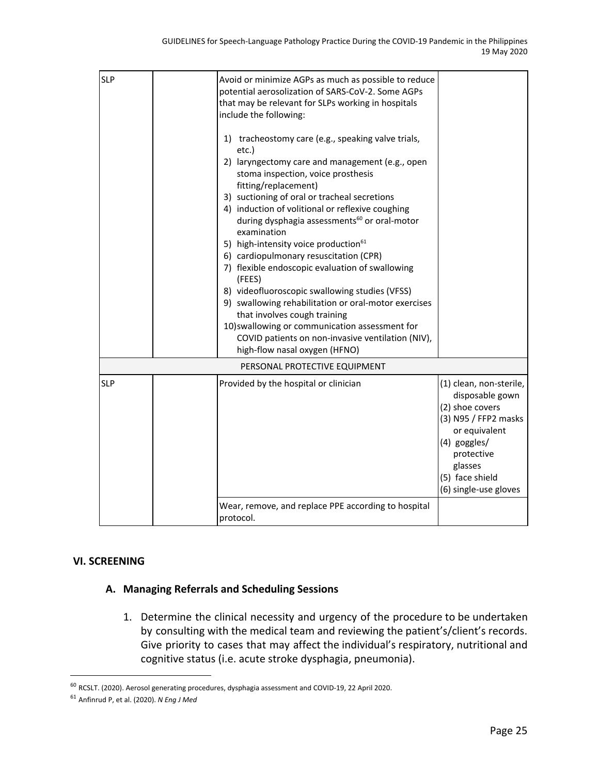| <b>SLP</b> | Avoid or minimize AGPs as much as possible to reduce<br>potential aerosolization of SARS-CoV-2. Some AGPs<br>that may be relevant for SLPs working in hospitals<br>include the following:<br>1) tracheostomy care (e.g., speaking valve trials,<br>etc.)<br>2) laryngectomy care and management (e.g., open<br>stoma inspection, voice prosthesis<br>fitting/replacement)<br>3) suctioning of oral or tracheal secretions<br>4) induction of volitional or reflexive coughing |                                                                                                                                                                                             |
|------------|-------------------------------------------------------------------------------------------------------------------------------------------------------------------------------------------------------------------------------------------------------------------------------------------------------------------------------------------------------------------------------------------------------------------------------------------------------------------------------|---------------------------------------------------------------------------------------------------------------------------------------------------------------------------------------------|
|            | during dysphagia assessments <sup>60</sup> or oral-motor<br>examination<br>5) high-intensity voice production <sup>61</sup><br>6) cardiopulmonary resuscitation (CPR)<br>7) flexible endoscopic evaluation of swallowing<br>(FEES)<br>8) videofluoroscopic swallowing studies (VFSS)<br>9) swallowing rehabilitation or oral-motor exercises<br>that involves cough training<br>10) swallowing or communication assessment for                                                |                                                                                                                                                                                             |
|            | COVID patients on non-invasive ventilation (NIV),<br>high-flow nasal oxygen (HFNO)                                                                                                                                                                                                                                                                                                                                                                                            |                                                                                                                                                                                             |
|            | PERSONAL PROTECTIVE EQUIPMENT                                                                                                                                                                                                                                                                                                                                                                                                                                                 |                                                                                                                                                                                             |
| <b>SLP</b> | Provided by the hospital or clinician                                                                                                                                                                                                                                                                                                                                                                                                                                         | (1) clean, non-sterile,<br>disposable gown<br>(2) shoe covers<br>(3) N95 / FFP2 masks<br>or equivalent<br>(4) goggles/<br>protective<br>glasses<br>(5) face shield<br>(6) single-use gloves |
|            | Wear, remove, and replace PPE according to hospital<br>protocol.                                                                                                                                                                                                                                                                                                                                                                                                              |                                                                                                                                                                                             |

## **VI. SCREENING**

## **A. Managing Referrals and Scheduling Sessions**

1. Determine the clinical necessity and urgency of the procedure to be undertaken by consulting with the medical team and reviewing the patient's/client's records. Give priority to cases that may affect the individual's respiratory, nutritional and cognitive status (i.e. acute stroke dysphagia, pneumonia).

<sup>60</sup> RCSLT. (2020). Aerosol generating procedures, dysphagia assessment and COVID-19, 22 April 2020.

<sup>61</sup> Anfinrud P, et al. (2020). *N Eng J Med*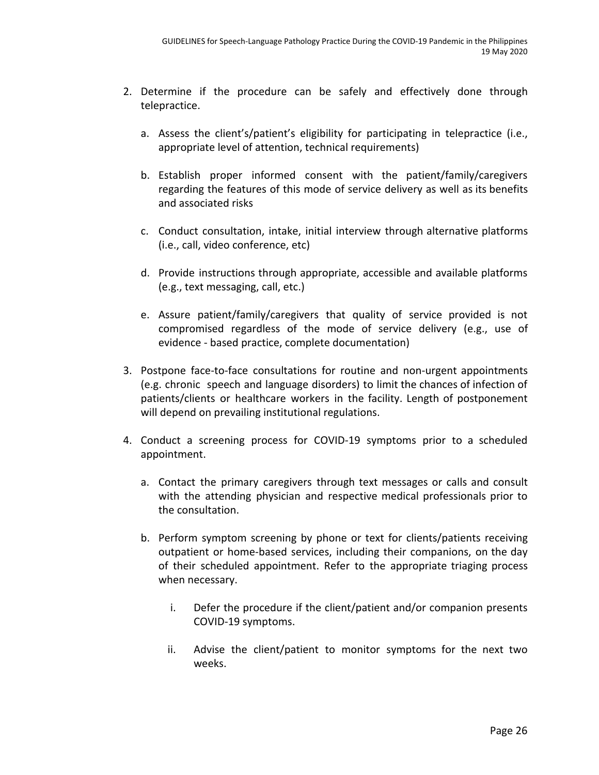- 2. Determine if the procedure can be safely and effectively done through telepractice.
	- a. Assess the client's/patient's eligibility for participating in telepractice (i.e., appropriate level of attention, technical requirements)
	- b. Establish proper informed consent with the patient/family/caregivers regarding the features of this mode of service delivery as well as its benefits and associated risks
	- c. Conduct consultation, intake, initial interview through alternative platforms (i.e., call, video conference, etc)
	- d. Provide instructions through appropriate, accessible and available platforms (e.g., text messaging, call, etc.)
	- e. Assure patient/family/caregivers that quality of service provided is not compromised regardless of the mode of service delivery (e.g., use of evidence - based practice, complete documentation)
- 3. Postpone face-to-face consultations for routine and non-urgent appointments (e.g. chronic speech and language disorders) to limit the chances of infection of patients/clients or healthcare workers in the facility. Length of postponement will depend on prevailing institutional regulations.
- 4. Conduct a screening process for COVID-19 symptoms prior to a scheduled appointment.
	- a. Contact the primary caregivers through text messages or calls and consult with the attending physician and respective medical professionals prior to the consultation.
	- b. Perform symptom screening by phone or text for clients/patients receiving outpatient or home-based services, including their companions, on the day of their scheduled appointment. Refer to the appropriate triaging process when necessary.
		- i. Defer the procedure if the client/patient and/or companion presents COVID-19 symptoms.
		- ii. Advise the client/patient to monitor symptoms for the next two weeks.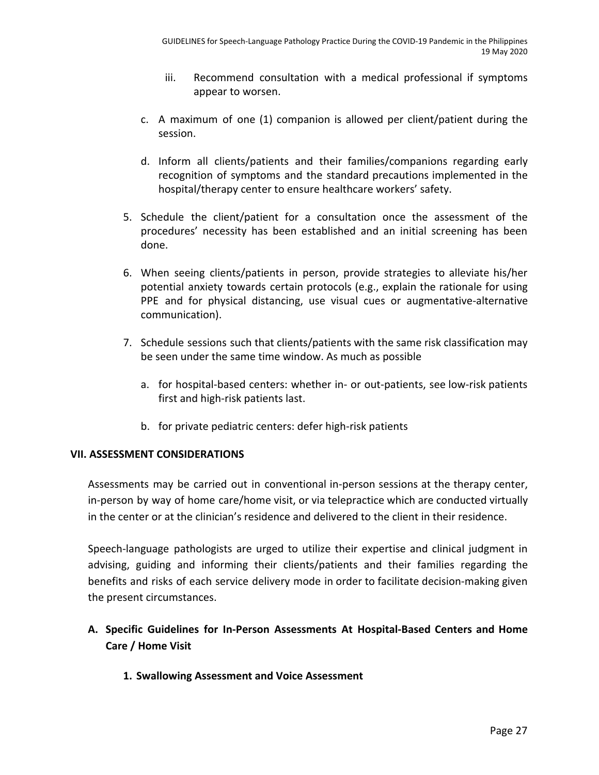- iii. Recommend consultation with a medical professional if symptoms appear to worsen.
- c. A maximum of one (1) companion is allowed per client/patient during the session.
- d. Inform all clients/patients and their families/companions regarding early recognition of symptoms and the standard precautions implemented in the hospital/therapy center to ensure healthcare workers' safety.
- 5. Schedule the client/patient for a consultation once the assessment of the procedures' necessity has been established and an initial screening has been done.
- 6. When seeing clients/patients in person, provide strategies to alleviate his/her potential anxiety towards certain protocols (e.g., explain the rationale for using PPE and for physical distancing, use visual cues or augmentative-alternative communication).
- 7. Schedule sessions such that clients/patients with the same risk classification may be seen under the same time window. As much as possible
	- a. for hospital-based centers: whether in- or out-patients, see low-risk patients first and high-risk patients last.
	- b. for private pediatric centers: defer high-risk patients

## **VII. ASSESSMENT CONSIDERATIONS**

Assessments may be carried out in conventional in-person sessions at the therapy center, in-person by way of home care/home visit, or via telepractice which are conducted virtually in the center or at the clinician's residence and delivered to the client in their residence.

Speech-language pathologists are urged to utilize their expertise and clinical judgment in advising, guiding and informing their clients/patients and their families regarding the benefits and risks of each service delivery mode in order to facilitate decision-making given the present circumstances.

## **A. Specific Guidelines for In-Person Assessments At Hospital-Based Centers and Home Care / Home Visit**

**1. Swallowing Assessment and Voice Assessment**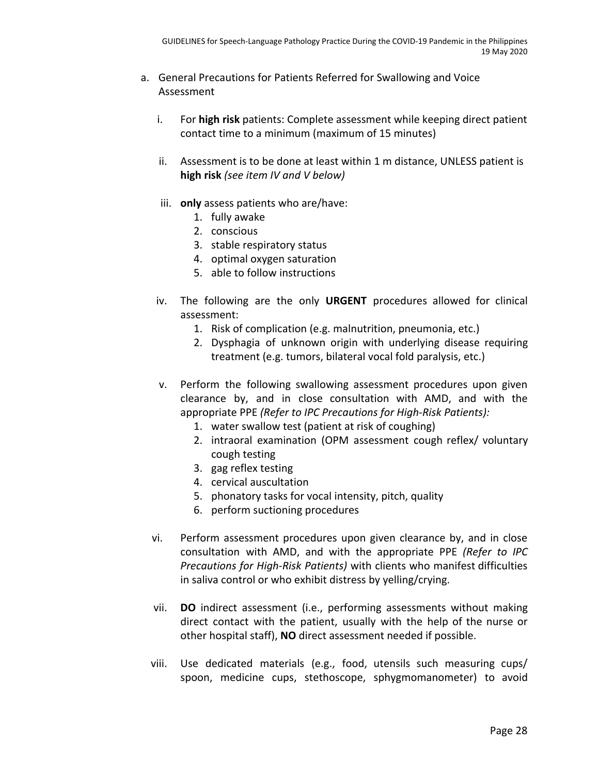- a. General Precautions for Patients Referred for Swallowing and Voice Assessment
	- i. For **high risk** patients: Complete assessment while keeping direct patient contact time to a minimum (maximum of 15 minutes)
	- ii. Assessment is to be done at least within 1 m distance, UNLESS patient is **high risk** *(see item IV and V below)*
	- iii. **only** assess patients who are/have:
		- 1. fully awake
		- 2. conscious
		- 3. stable respiratory status
		- 4. optimal oxygen saturation
		- 5. able to follow instructions
	- iv. The following are the only **URGENT** procedures allowed for clinical assessment:
		- 1. Risk of complication (e.g. malnutrition, pneumonia, etc.)
		- 2. Dysphagia of unknown origin with underlying disease requiring treatment (e.g. tumors, bilateral vocal fold paralysis, etc.)
	- v. Perform the following swallowing assessment procedures upon given clearance by, and in close consultation with AMD, and with the appropriate PPE *(Refer to IPC Precautions for High-Risk Patients):*
		- 1. water swallow test (patient at risk of coughing)
		- 2. intraoral examination (OPM assessment cough reflex/ voluntary cough testing
		- 3. gag reflex testing
		- 4. cervical auscultation
		- 5. phonatory tasks for vocal intensity, pitch, quality
		- 6. perform suctioning procedures
	- vi. Perform assessment procedures upon given clearance by, and in close consultation with AMD, and with the appropriate PPE *(Refer to IPC Precautions for High-Risk Patients)* with clients who manifest difficulties in saliva control or who exhibit distress by yelling/crying.
	- vii. **DO** indirect assessment (i.e., performing assessments without making direct contact with the patient, usually with the help of the nurse or other hospital staff), **NO** direct assessment needed if possible.
	- viii. Use dedicated materials (e.g., food, utensils such measuring cups/ spoon, medicine cups, stethoscope, sphygmomanometer) to avoid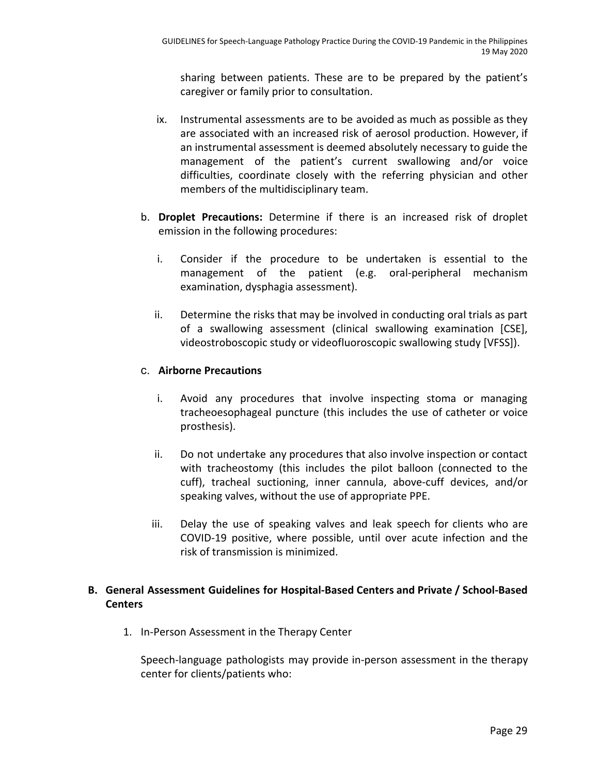sharing between patients. These are to be prepared by the patient's caregiver or family prior to consultation.

- ix. Instrumental assessments are to be avoided as much as possible as they are associated with an increased risk of aerosol production. However, if an instrumental assessment is deemed absolutely necessary to guide the management of the patient's current swallowing and/or voice difficulties, coordinate closely with the referring physician and other members of the multidisciplinary team.
- b. **Droplet Precautions:** Determine if there is an increased risk of droplet emission in the following procedures:
	- i. Consider if the procedure to be undertaken is essential to the management of the patient (e.g. oral-peripheral mechanism examination, dysphagia assessment).
	- ii. Determine the risks that may be involved in conducting oral trials as part of a swallowing assessment (clinical swallowing examination [CSE], videostroboscopic study or videofluoroscopic swallowing study [VFSS]).

## c. **Airborne Precautions**

- i. Avoid any procedures that involve inspecting stoma or managing tracheoesophageal puncture (this includes the use of catheter or voice prosthesis).
- ii. Do not undertake any procedures that also involve inspection or contact with tracheostomy (this includes the pilot balloon (connected to the cuff), tracheal suctioning, inner cannula, above-cuff devices, and/or speaking valves, without the use of appropriate PPE.
- iii. Delay the use of speaking valves and leak speech for clients who are COVID-19 positive, where possible, until over acute infection and the risk of transmission is minimized.

## **B. General Assessment Guidelines for Hospital-Based Centers and Private / School-Based Centers**

1. In-Person Assessment in the Therapy Center

Speech-language pathologists may provide in-person assessment in the therapy center for clients/patients who: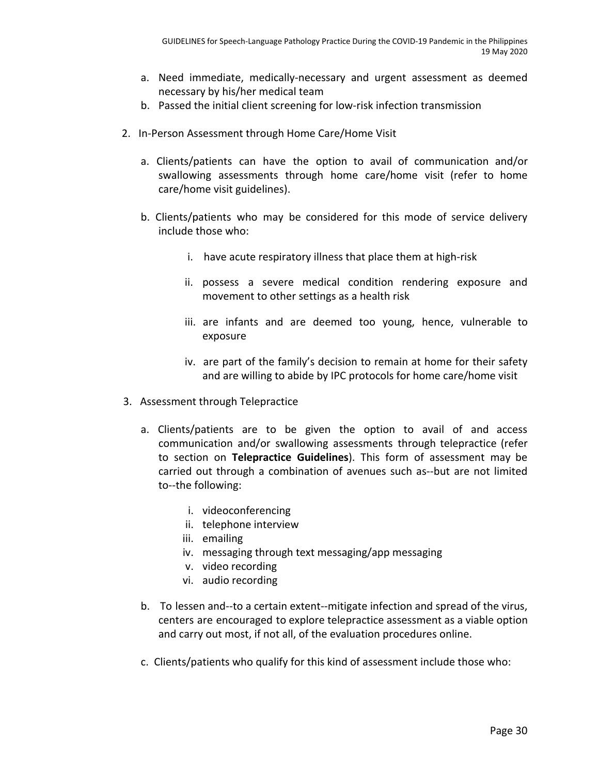- a. Need immediate, medically-necessary and urgent assessment as deemed necessary by his/her medical team
- b. Passed the initial client screening for low-risk infection transmission
- 2. In-Person Assessment through Home Care/Home Visit
	- a. Clients/patients can have the option to avail of communication and/or swallowing assessments through home care/home visit (refer to home care/home visit guidelines).
	- b. Clients/patients who may be considered for this mode of service delivery include those who:
		- i. have acute respiratory illness that place them at high-risk
		- ii. possess a severe medical condition rendering exposure and movement to other settings as a health risk
		- iii. are infants and are deemed too young, hence, vulnerable to exposure
		- iv. are part of the family's decision to remain at home for their safety and are willing to abide by IPC protocols for home care/home visit
- 3. Assessment through Telepractice
	- a. Clients/patients are to be given the option to avail of and access communication and/or swallowing assessments through telepractice (refer to section on **Telepractice Guidelines**). This form of assessment may be carried out through a combination of avenues such as--but are not limited to--the following:
		- i. videoconferencing
		- ii. telephone interview
		- iii. emailing
		- iv. messaging through text messaging/app messaging
		- v. video recording
		- vi. audio recording
	- b. To lessen and--to a certain extent--mitigate infection and spread of the virus, centers are encouraged to explore telepractice assessment as a viable option and carry out most, if not all, of the evaluation procedures online.
	- c. Clients/patients who qualify for this kind of assessment include those who: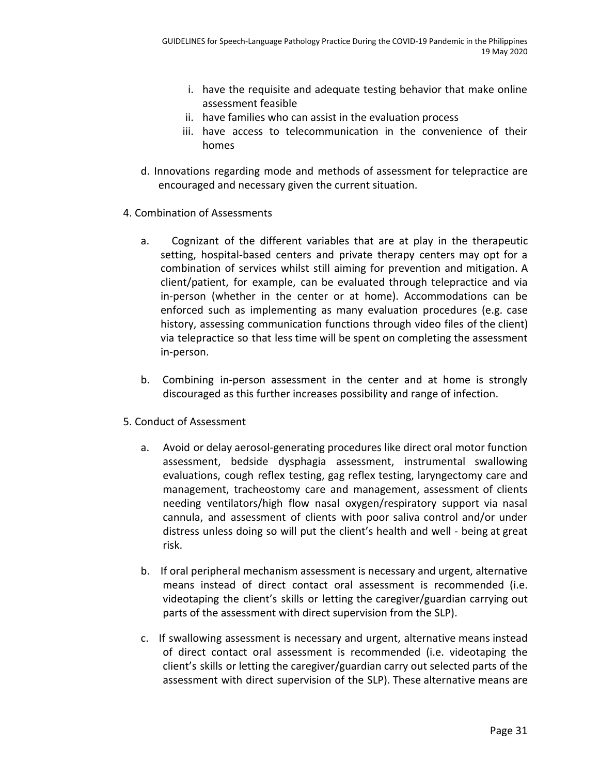- i. have the requisite and adequate testing behavior that make online assessment feasible
- ii. have families who can assist in the evaluation process
- iii. have access to telecommunication in the convenience of their homes
- d. Innovations regarding mode and methods of assessment for telepractice are encouraged and necessary given the current situation.
- 4. Combination of Assessments
	- a. Cognizant of the different variables that are at play in the therapeutic setting, hospital-based centers and private therapy centers may opt for a combination of services whilst still aiming for prevention and mitigation. A client/patient, for example, can be evaluated through telepractice and via in-person (whether in the center or at home). Accommodations can be enforced such as implementing as many evaluation procedures (e.g. case history, assessing communication functions through video files of the client) via telepractice so that less time will be spent on completing the assessment in-person.
	- b. Combining in-person assessment in the center and at home is strongly discouraged as this further increases possibility and range of infection.
- 5. Conduct of Assessment
	- a. Avoid or delay aerosol-generating procedures like direct oral motor function assessment, bedside dysphagia assessment, instrumental swallowing evaluations, cough reflex testing, gag reflex testing, laryngectomy care and management, tracheostomy care and management, assessment of clients needing ventilators/high flow nasal oxygen/respiratory support via nasal cannula, and assessment of clients with poor saliva control and/or under distress unless doing so will put the client's health and well - being at great risk.
	- b. If oral peripheral mechanism assessment is necessary and urgent, alternative means instead of direct contact oral assessment is recommended (i.e. videotaping the client's skills or letting the caregiver/guardian carrying out parts of the assessment with direct supervision from the SLP).
	- c. If swallowing assessment is necessary and urgent, alternative means instead of direct contact oral assessment is recommended (i.e. videotaping the client's skills or letting the caregiver/guardian carry out selected parts of the assessment with direct supervision of the SLP). These alternative means are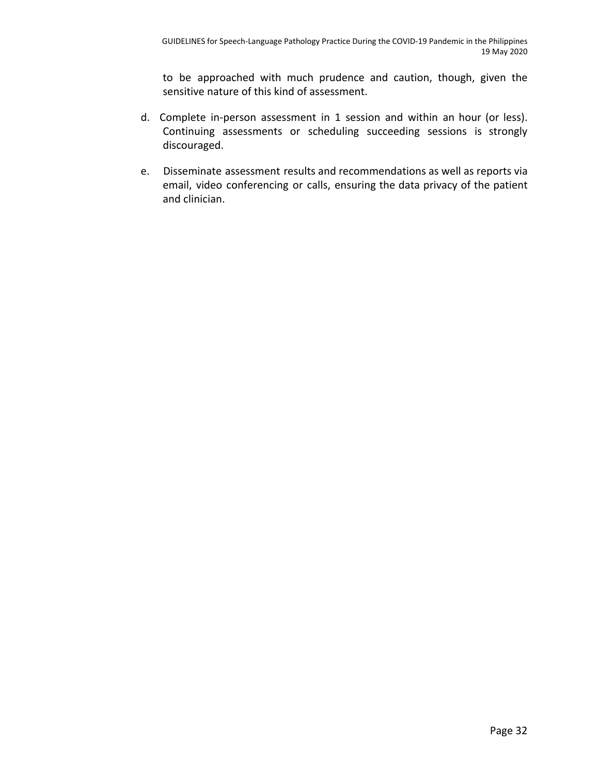to be approached with much prudence and caution, though, given the sensitive nature of this kind of assessment.

- d. Complete in-person assessment in 1 session and within an hour (or less). Continuing assessments or scheduling succeeding sessions is strongly discouraged.
- e. Disseminate assessment results and recommendations as well as reports via email, video conferencing or calls, ensuring the data privacy of the patient and clinician.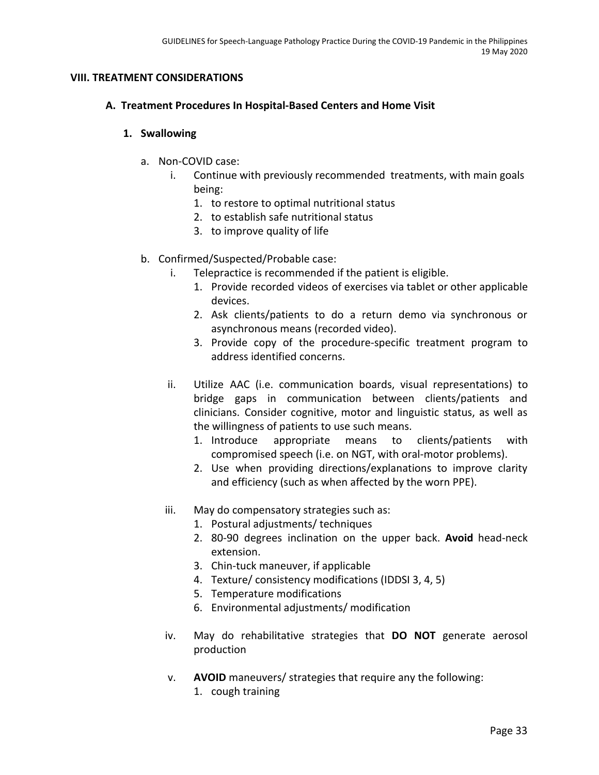## **VIII. TREATMENT CONSIDERATIONS**

## **A. Treatment Procedures In Hospital-Based Centers and Home Visit**

## **1. Swallowing**

- a. Non-COVID case:
	- i. Continue with previously recommended treatments, with main goals being:
		- 1. to restore to optimal nutritional status
		- 2. to establish safe nutritional status
		- 3. to improve quality of life
- b. Confirmed/Suspected/Probable case:
	- i. Telepractice is recommended if the patient is eligible.
		- 1. Provide recorded videos of exercises via tablet or other applicable devices.
		- 2. Ask clients/patients to do a return demo via synchronous or asynchronous means (recorded video).
		- 3. Provide copy of the procedure-specific treatment program to address identified concerns.
	- ii. Utilize AAC (i.e. communication boards, visual representations) to bridge gaps in communication between clients/patients and clinicians. Consider cognitive, motor and linguistic status, as well as the willingness of patients to use such means.
		- 1. Introduce appropriate means to clients/patients with compromised speech (i.e. on NGT, with oral-motor problems).
		- 2. Use when providing directions/explanations to improve clarity and efficiency (such as when affected by the worn PPE).
	- iii. May do compensatory strategies such as:
		- 1. Postural adjustments/ techniques
		- 2. 80-90 degrees inclination on the upper back. **Avoid** head-neck extension.
		- 3. Chin-tuck maneuver, if applicable
		- 4. Texture/ consistency modifications (IDDSI 3, 4, 5)
		- 5. Temperature modifications
		- 6. Environmental adjustments/ modification
	- iv. May do rehabilitative strategies that **DO NOT** generate aerosol production
	- v. **AVOID** maneuvers/ strategies that require any the following: 1. cough training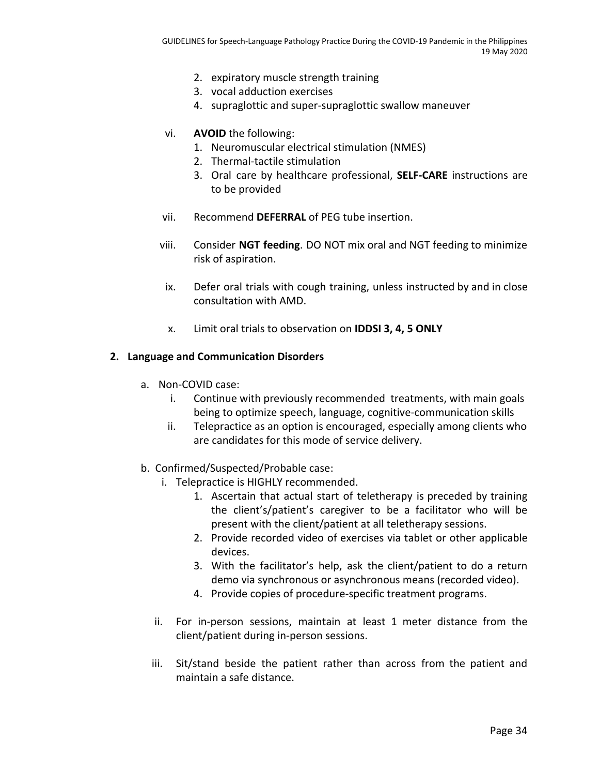- 2. expiratory muscle strength training
- 3. vocal adduction exercises
- 4. supraglottic and super-supraglottic swallow maneuver
- vi. **AVOID** the following:
	- 1. Neuromuscular electrical stimulation (NMES)
	- 2. Thermal-tactile stimulation
	- 3. Oral care by healthcare professional, **SELF-CARE** instructions are to be provided
- vii. Recommend **DEFERRAL** of PEG tube insertion.
- viii. Consider **NGT feeding**. DO NOT mix oral and NGT feeding to minimize risk of aspiration.
	- ix. Defer oral trials with cough training, unless instructed by and in close consultation with AMD.
	- x. Limit oral trials to observation on **IDDSI 3, 4, 5 ONLY**

#### **2. Language and Communication Disorders**

- a. Non-COVID case:
	- i. Continue with previously recommended treatments, with main goals being to optimize speech, language, cognitive-communication skills
	- ii. Telepractice as an option is encouraged, especially among clients who are candidates for this mode of service delivery.
- b. Confirmed/Suspected/Probable case:
	- i. Telepractice is HIGHLY recommended.
		- 1. Ascertain that actual start of teletherapy is preceded by training the client's/patient's caregiver to be a facilitator who will be present with the client/patient at all teletherapy sessions.
		- 2. Provide recorded video of exercises via tablet or other applicable devices.
		- 3. With the facilitator's help, ask the client/patient to do a return demo via synchronous or asynchronous means (recorded video).
		- 4. Provide copies of procedure-specific treatment programs.
	- ii. For in-person sessions, maintain at least 1 meter distance from the client/patient during in-person sessions.
	- iii. Sit/stand beside the patient rather than across from the patient and maintain a safe distance.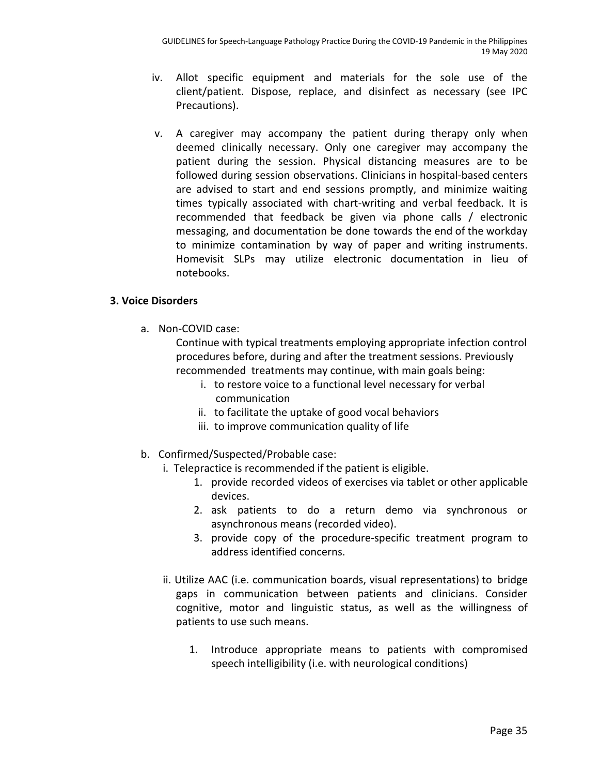- iv. Allot specific equipment and materials for the sole use of the client/patient. Dispose, replace, and disinfect as necessary (see IPC Precautions).
- v. A caregiver may accompany the patient during therapy only when deemed clinically necessary. Only one caregiver may accompany the patient during the session. Physical distancing measures are to be followed during session observations. Clinicians in hospital-based centers are advised to start and end sessions promptly, and minimize waiting times typically associated with chart-writing and verbal feedback. It is recommended that feedback be given via phone calls / electronic messaging, and documentation be done towards the end of the workday to minimize contamination by way of paper and writing instruments. Homevisit SLPs may utilize electronic documentation in lieu of notebooks.

## **3. Voice Disorders**

a. Non-COVID case:

Continue with typical treatments employing appropriate infection control procedures before, during and after the treatment sessions. Previously recommended treatments may continue, with main goals being:

- i. to restore voice to a functional level necessary for verbal communication
- ii. to facilitate the uptake of good vocal behaviors
- iii. to improve communication quality of life
- b. Confirmed/Suspected/Probable case:
	- i. Telepractice is recommended if the patient is eligible.
		- 1. provide recorded videos of exercises via tablet or other applicable devices.
		- 2. ask patients to do a return demo via synchronous or asynchronous means (recorded video).
		- 3. provide copy of the procedure-specific treatment program to address identified concerns.
	- ii. Utilize AAC (i.e. communication boards, visual representations) to bridge gaps in communication between patients and clinicians. Consider cognitive, motor and linguistic status, as well as the willingness of patients to use such means.
		- 1. Introduce appropriate means to patients with compromised speech intelligibility (i.e. with neurological conditions)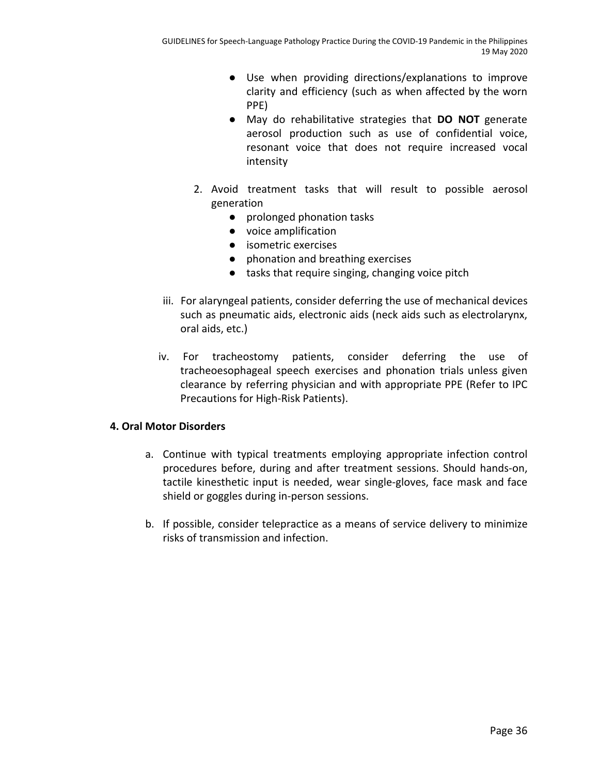- Use when providing directions/explanations to improve clarity and efficiency (such as when affected by the worn PPE)
- May do rehabilitative strategies that **DO NOT** generate aerosol production such as use of confidential voice, resonant voice that does not require increased vocal intensity
- 2. Avoid treatment tasks that will result to possible aerosol generation
	- prolonged phonation tasks
	- voice amplification
	- isometric exercises
	- phonation and breathing exercises
	- tasks that require singing, changing voice pitch
- iii. For alaryngeal patients, consider deferring the use of mechanical devices such as pneumatic aids, electronic aids (neck aids such as electrolarynx, oral aids, etc.)
- iv. For tracheostomy patients, consider deferring the use of tracheoesophageal speech exercises and phonation trials unless given clearance by referring physician and with appropriate PPE (Refer to IPC Precautions for High-Risk Patients).

## **4. Oral Motor Disorders**

- a. Continue with typical treatments employing appropriate infection control procedures before, during and after treatment sessions. Should hands-on, tactile kinesthetic input is needed, wear single-gloves, face mask and face shield or goggles during in-person sessions.
- b. If possible, consider telepractice as a means of service delivery to minimize risks of transmission and infection.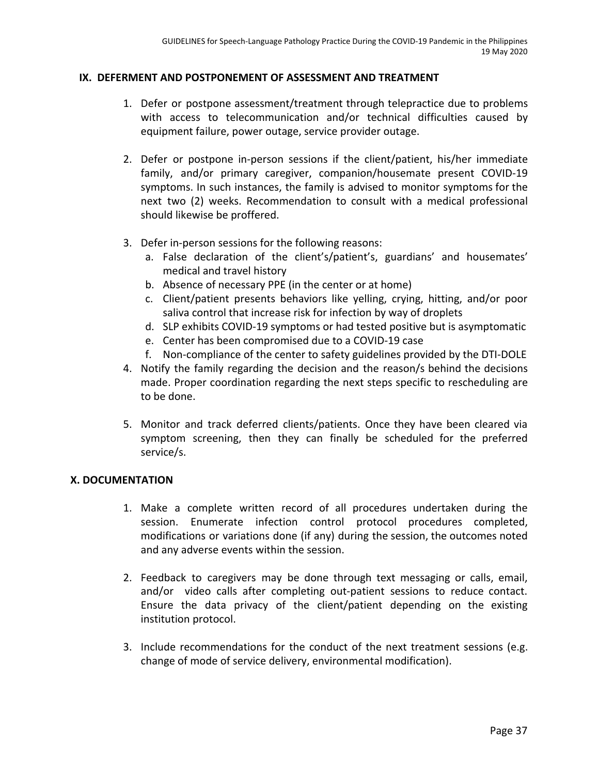#### **IX. DEFERMENT AND POSTPONEMENT OF ASSESSMENT AND TREATMENT**

- 1. Defer or postpone assessment/treatment through telepractice due to problems with access to telecommunication and/or technical difficulties caused by equipment failure, power outage, service provider outage.
- 2. Defer or postpone in-person sessions if the client/patient, his/her immediate family, and/or primary caregiver, companion/housemate present COVID-19 symptoms. In such instances, the family is advised to monitor symptoms for the next two (2) weeks. Recommendation to consult with a medical professional should likewise be proffered.
- 3. Defer in-person sessions for the following reasons:
	- a. False declaration of the client's/patient's, guardians' and housemates' medical and travel history
	- b. Absence of necessary PPE (in the center or at home)
	- c. Client/patient presents behaviors like yelling, crying, hitting, and/or poor saliva control that increase risk for infection by way of droplets
	- d. SLP exhibits COVID-19 symptoms or had tested positive but is asymptomatic
	- e. Center has been compromised due to a COVID-19 case
	- f. Non-compliance of the center to safety guidelines provided by the DTI-DOLE
- 4. Notify the family regarding the decision and the reason/s behind the decisions made. Proper coordination regarding the next steps specific to rescheduling are to be done.
- 5. Monitor and track deferred clients/patients. Once they have been cleared via symptom screening, then they can finally be scheduled for the preferred service/s.

## **X. DOCUMENTATION**

- 1. Make a complete written record of all procedures undertaken during the session. Enumerate infection control protocol procedures completed, modifications or variations done (if any) during the session, the outcomes noted and any adverse events within the session.
- 2. Feedback to caregivers may be done through text messaging or calls, email, and/or video calls after completing out-patient sessions to reduce contact. Ensure the data privacy of the client/patient depending on the existing institution protocol.
- 3. Include recommendations for the conduct of the next treatment sessions (e.g. change of mode of service delivery, environmental modification).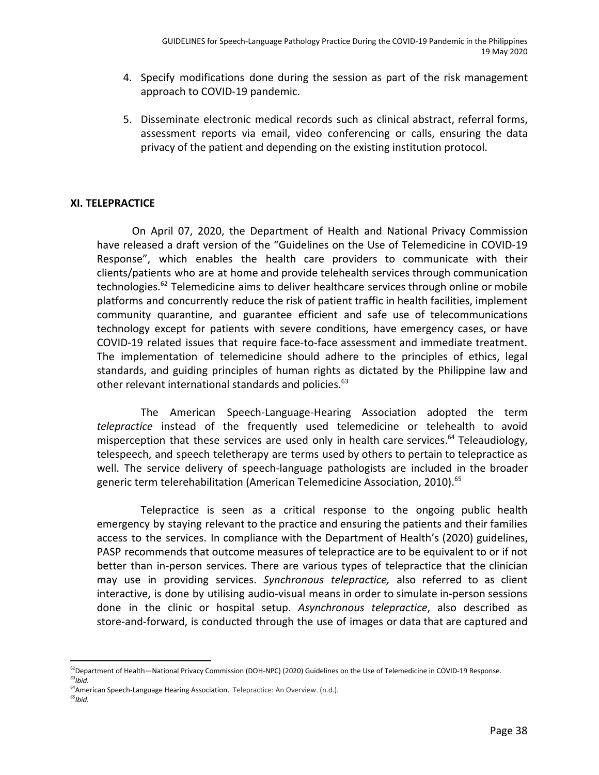- 4. Specify modifications done during the session as part of the risk management approach to COVID-19 pandemic.
- 5. Disseminate electronic medical records such as clinical abstract, referral forms, assessment reports via email, video conferencing or calls, ensuring the data privacy of the patient and depending on the existing institution protocol.

#### **XI. TELEPRACTICE**

On April 07, 2020, the Department of Health and National Privacy Commission have released a draft version of the "Guidelines on the Use of Telemedicine in COVID-19 Response", which enables the health care providers to communicate with their clients/patients who are at home and provide telehealth services through communication technologies.<sup>62</sup> Telemedicine aims to deliver healthcare services through online or mobile platforms and concurrently reduce the risk of patient traffic in health facilities, implement community quarantine, and guarantee efficient and safe use of telecommunications technology except for patients with severe conditions, have emergency cases, or have COVID-19 related issues that require face-to-face assessment and immediate treatment. The implementation of telemedicine should adhere to the principles of ethics, legal standards, and guiding principles of human rights as dictated by the Philippine law and other relevant international standards and policies.<sup>63</sup>

The American Speech-Language-Hearing Association adopted the term *telepractice* instead of the frequently used telemedicine or telehealth to avoid misperception that these services are used only in health care services. $64$  Teleaudiology, telespeech, and speech teletherapy are terms used by others to pertain to telepractice as well. The service delivery of speech-language pathologists are included in the broader generic term telerehabilitation (American Telemedicine Association, 2010).<sup>65</sup>

Telepractice is seen as a critical response to the ongoing public health emergency by staying relevant to the practice and ensuring the patients and their families access to the services. In compliance with the Department of Health's (2020) guidelines, PASP recommends that outcome measures of telepractice are to be equivalent to or if not better than in-person services. There are various types of telepractice that the clinician may use in providing services. *Synchronous telepractice,* also referred to as client interactive, is done by utilising audio-visual means in order to simulate in-person sessions done in the clinic or hospital setup. *Asynchronous telepractice*, also described as store-and-forward, is conducted through the use of images or data that are captured and

<sup>&</sup>lt;sup>62</sup>Department of Health—National Privacy Commission (DOH-NPC) (2020) Guidelines on the Use of Telemedicine in COVID-19 Response. *63 Ibid.*

<sup>&</sup>lt;sup>64</sup>American Speech-Language Hearing Association. Telepractice: An Overview. (n.d.).

*<sup>65</sup> Ibid.*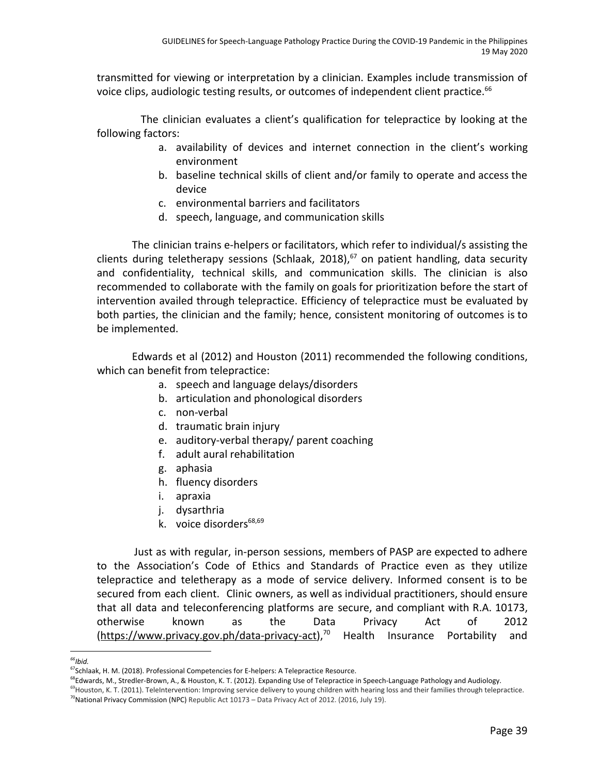transmitted for viewing or interpretation by a clinician. Examples include transmission of voice clips, audiologic testing results, or outcomes of independent client practice.<sup>66</sup>

The clinician evaluates a client's qualification for telepractice by looking at the following factors:

- a. availability of devices and internet connection in the client's working environment
- b. baseline technical skills of client and/or family to operate and access the device
- c. environmental barriers and facilitators
- d. speech, language, and communication skills

The clinician trains e-helpers or facilitators, which refer to individual/s assisting the clients during teletherapy sessions (Schlaak, 2018), $67$  on patient handling, data security and confidentiality, technical skills, and communication skills. The clinician is also recommended to collaborate with the family on goals for prioritization before the start of intervention availed through telepractice. Efficiency of telepractice must be evaluated by both parties, the clinician and the family; hence, consistent monitoring of outcomes is to be implemented.

Edwards et al (2012) and Houston (2011) recommended the following conditions, which can benefit from telepractice:

- a. speech and language delays/disorders
- b. articulation and phonological disorders
- c. non-verbal
- d. traumatic brain injury
- e. auditory-verbal therapy/ parent coaching
- f. adult aural rehabilitation
- g. aphasia
- h. fluency disorders
- i. apraxia
- j. dysarthria
- k. voice disorders<sup>68,69</sup>

Just as with regular, in-person sessions, members of PASP are expected to adhere to the Association's Code of Ethics and Standards of Practice even as they utilize telepractice and teletherapy as a mode of service delivery. Informed consent is to be secured from each client. Clinic owners, as well as individual practitioners, should ensure that all data and teleconferencing platforms are secure, and compliant with R.A. 10173, otherwise known as the Data Privacy Act of 2012 ([https://www.privacy.gov.ph/data-privacy-act\)](https://www.privacy.gov.ph/data-privacy-act),<sup>70</sup> Health Insurance Portability and

*<sup>66</sup> Ibid.*

<sup>&</sup>lt;sup>67</sup>Schlaak, H. M. (2018). Professional Competencies for E-helpers: A Telepractice Resource.

<sup>&</sup>lt;sup>68</sup>Edwards, M., Stredler-Brown, A., & Houston, K. T. (2012). Expanding Use of Telepractice in Speech-Language Pathology and Audiology.

<sup>&</sup>lt;sup>69</sup>Houston, K. T. (2011). TeleIntervention: Improving service delivery to young children with hearing loss and their families through telepractice. <sup>70</sup>National Privacy Commission (NPC) Republic Act 10173 – Data Privacy Act of 2012. (2016, July 19).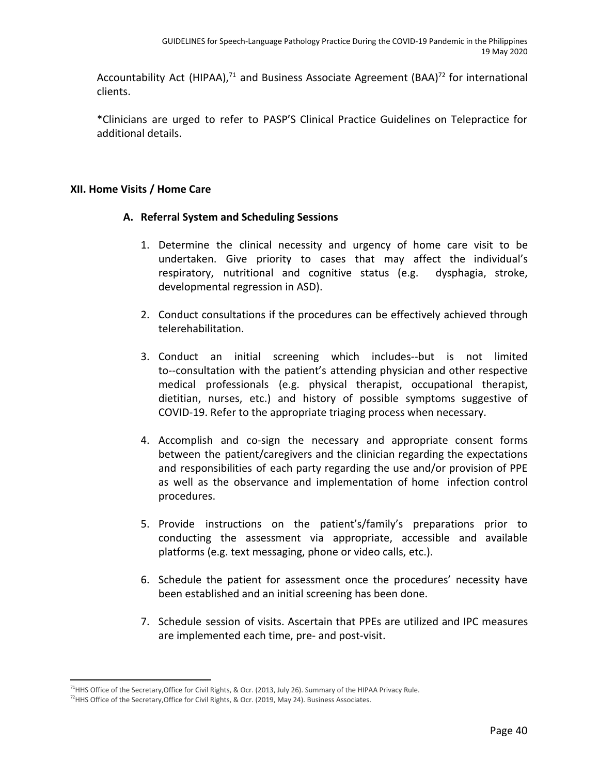Accountability Act (HIPAA), $71$  and Business Associate Agreement (BAA) $72$  for international clients.

\*Clinicians are urged to refer to PASP'S Clinical Practice Guidelines on Telepractice for additional details.

## **XII. Home Visits / Home Care**

## **A. Referral System and Scheduling Sessions**

- 1. Determine the clinical necessity and urgency of home care visit to be undertaken. Give priority to cases that may affect the individual's respiratory, nutritional and cognitive status (e.g. dysphagia, stroke, developmental regression in ASD).
- 2. Conduct consultations if the procedures can be effectively achieved through telerehabilitation.
- 3. Conduct an initial screening which includes--but is not limited to--consultation with the patient's attending physician and other respective medical professionals (e.g. physical therapist, occupational therapist, dietitian, nurses, etc.) and history of possible symptoms suggestive of COVID-19. Refer to the appropriate triaging process when necessary.
- 4. Accomplish and co-sign the necessary and appropriate consent forms between the patient/caregivers and the clinician regarding the expectations and responsibilities of each party regarding the use and/or provision of PPE as well as the observance and implementation of home infection control procedures.
- 5. Provide instructions on the patient's/family's preparations prior to conducting the assessment via appropriate, accessible and available platforms (e.g. text messaging, phone or video calls, etc.).
- 6. Schedule the patient for assessment once the procedures' necessity have been established and an initial screening has been done.
- 7. Schedule session of visits. Ascertain that PPEs are utilized and IPC measures are implemented each time, pre- and post-visit.

<sup>&</sup>lt;sup>71</sup>HHS Office of the Secretary, Office for Civil Rights, & Ocr. (2013, July 26). Summary of the HIPAA Privacy Rule.

<sup>&</sup>lt;sup>72</sup>HHS Office of the Secretary, Office for Civil Rights, & Ocr. (2019, May 24). Business Associates.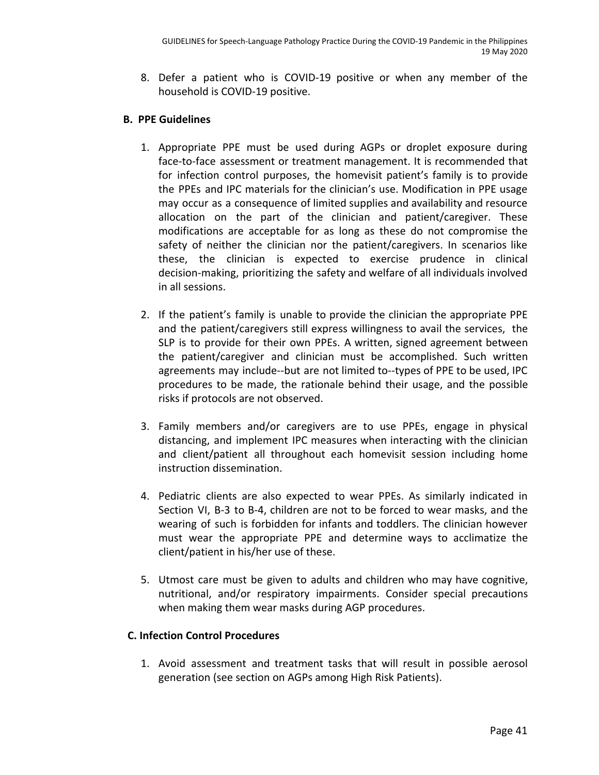8. Defer a patient who is COVID-19 positive or when any member of the household is COVID-19 positive.

## **B. PPE Guidelines**

- 1. Appropriate PPE must be used during AGPs or droplet exposure during face-to-face assessment or treatment management. It is recommended that for infection control purposes, the homevisit patient's family is to provide the PPEs and IPC materials for the clinician's use. Modification in PPE usage may occur as a consequence of limited supplies and availability and resource allocation on the part of the clinician and patient/caregiver. These modifications are acceptable for as long as these do not compromise the safety of neither the clinician nor the patient/caregivers. In scenarios like these, the clinician is expected to exercise prudence in clinical decision-making, prioritizing the safety and welfare of all individuals involved in all sessions.
- 2. If the patient's family is unable to provide the clinician the appropriate PPE and the patient/caregivers still express willingness to avail the services, the SLP is to provide for their own PPEs. A written, signed agreement between the patient/caregiver and clinician must be accomplished. Such written agreements may include--but are not limited to--types of PPE to be used, IPC procedures to be made, the rationale behind their usage, and the possible risks if protocols are not observed.
- 3. Family members and/or caregivers are to use PPEs, engage in physical distancing, and implement IPC measures when interacting with the clinician and client/patient all throughout each homevisit session including home instruction dissemination.
- 4. Pediatric clients are also expected to wear PPEs. As similarly indicated in Section VI, B-3 to B-4, children are not to be forced to wear masks, and the wearing of such is forbidden for infants and toddlers. The clinician however must wear the appropriate PPE and determine ways to acclimatize the client/patient in his/her use of these.
- 5. Utmost care must be given to adults and children who may have cognitive, nutritional, and/or respiratory impairments. Consider special precautions when making them wear masks during AGP procedures.

## **C. Infection Control Procedures**

1. Avoid assessment and treatment tasks that will result in possible aerosol generation (see section on AGPs among High Risk Patients).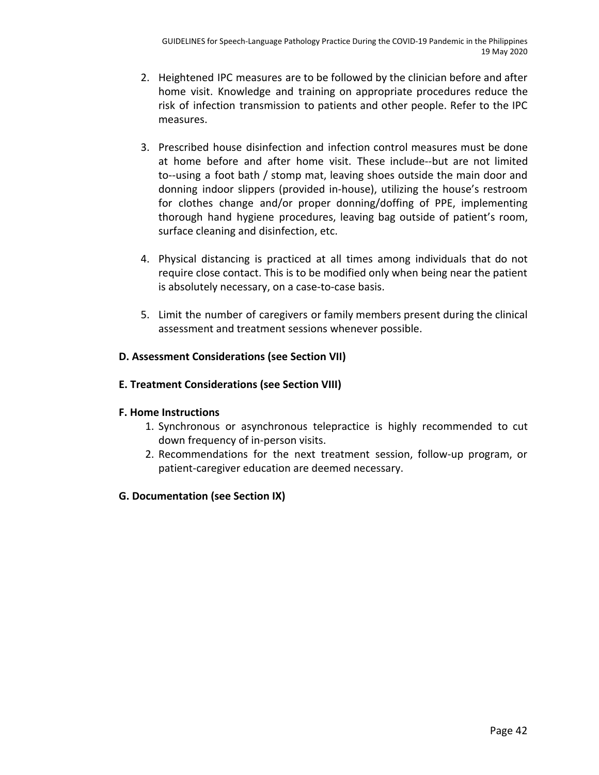- 2. Heightened IPC measures are to be followed by the clinician before and after home visit. Knowledge and training on appropriate procedures reduce the risk of infection transmission to patients and other people. Refer to the IPC measures.
- 3. Prescribed house disinfection and infection control measures must be done at home before and after home visit. These include--but are not limited to--using a foot bath / stomp mat, leaving shoes outside the main door and donning indoor slippers (provided in-house), utilizing the house's restroom for clothes change and/or proper donning/doffing of PPE, implementing thorough hand hygiene procedures, leaving bag outside of patient's room, surface cleaning and disinfection, etc.
- 4. Physical distancing is practiced at all times among individuals that do not require close contact. This is to be modified only when being near the patient is absolutely necessary, on a case-to-case basis.
- 5. Limit the number of caregivers or family members present during the clinical assessment and treatment sessions whenever possible.

## **D. Assessment Considerations (see Section VII)**

## **E. Treatment Considerations (see Section VIII)**

## **F. Home Instructions**

- 1. Synchronous or asynchronous telepractice is highly recommended to cut down frequency of in-person visits.
- 2. Recommendations for the next treatment session, follow-up program, or patient-caregiver education are deemed necessary.

## **G. Documentation (see Section IX)**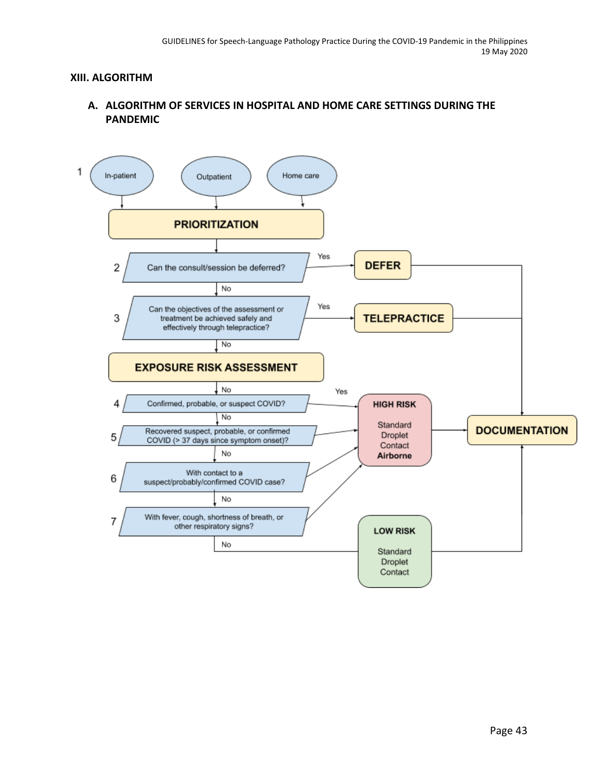#### **XIII. ALGORITHM**

## **A. ALGORITHM OF SERVICES IN HOSPITAL AND HOME CARE SETTINGS DURING THE PANDEMIC**

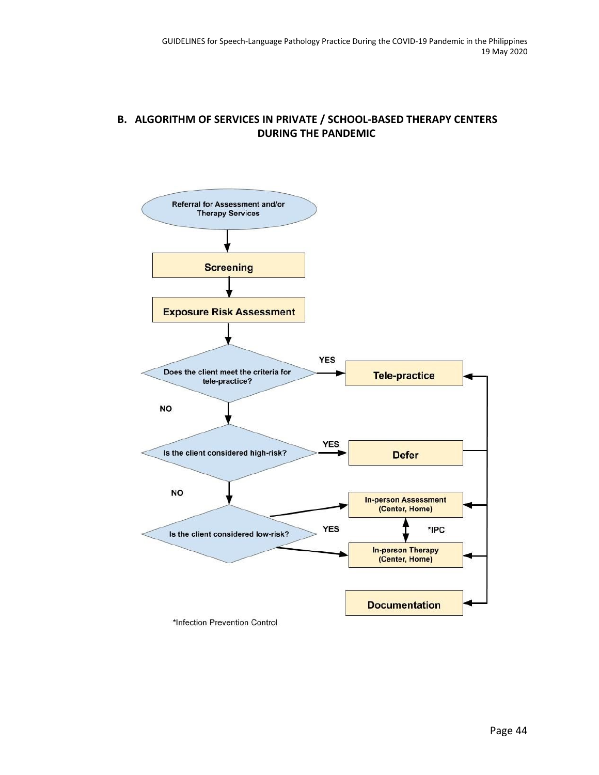## **B. ALGORITHM OF SERVICES IN PRIVATE / SCHOOL-BASED THERAPY CENTERS DURING THE PANDEMIC**

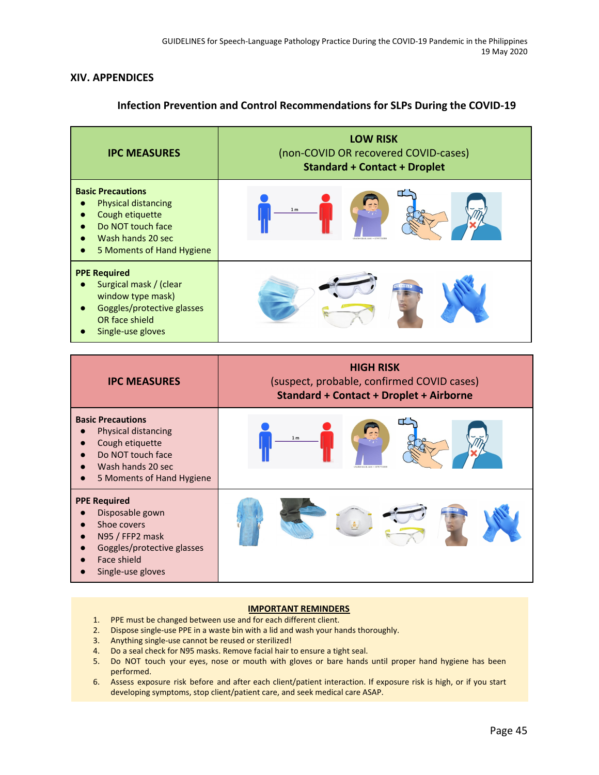#### **XIV. APPENDICES**

## **Infection Prevention and Control Recommendations for SLPs During the COVID-19**

| <b>IPC MEASURES</b>                                                                                                                              | <b>LOW RISK</b><br>(non-COVID OR recovered COVID-cases)<br><b>Standard + Contact + Droplet</b> |
|--------------------------------------------------------------------------------------------------------------------------------------------------|------------------------------------------------------------------------------------------------|
| <b>Basic Precautions</b><br><b>Physical distancing</b><br>Cough etiquette<br>Do NOT touch face<br>Wash hands 20 sec<br>5 Moments of Hand Hygiene | 1 <sub>m</sub><br>shutterstock.com + 479771000                                                 |
| <b>PPE Required</b><br>Surgical mask / (clear<br>window type mask)<br>Goggles/protective glasses<br>OR face shield<br>Single-use gloves          |                                                                                                |

| <b>IPC MEASURES</b>                                                                                                                        | <b>HIGH RISK</b><br>(suspect, probable, confirmed COVID cases)<br><b>Standard + Contact + Droplet + Airborne</b> |  |  |
|--------------------------------------------------------------------------------------------------------------------------------------------|------------------------------------------------------------------------------------------------------------------|--|--|
| <b>Basic Precautions</b><br>Physical distancing<br>Cough etiquette<br>Do NOT touch face<br>Wash hands 20 sec<br>5 Moments of Hand Hygiene  | 1 <sub>m</sub><br>shutterstock.com + 479771008                                                                   |  |  |
| <b>PPE Required</b><br>Disposable gown<br>Shoe covers<br>N95 / FFP2 mask<br>Goggles/protective glasses<br>Face shield<br>Single-use gloves |                                                                                                                  |  |  |

#### **IMPORTANT REMINDERS**

- 1. PPE must be changed between use and for each different client.
- 2. Dispose single-use PPE in a waste bin with a lid and wash your hands thoroughly.
- 3. Anything single-use cannot be reused or sterilized!
- 4. Do a seal check for N95 masks. Remove facial hair to ensure a tight seal.
- 5. Do NOT touch your eyes, nose or mouth with gloves or bare hands until proper hand hygiene has been performed.
- 6. Assess exposure risk before and after each client/patient interaction. If exposure risk is high, or if you start developing symptoms, stop client/patient care, and seek medical care ASAP.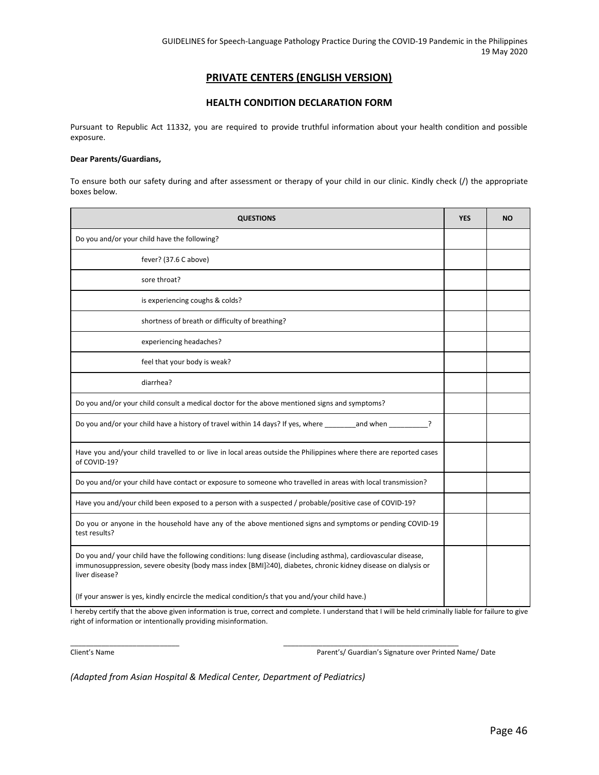#### **PRIVATE CENTERS (ENGLISH VERSION)**

#### **HEALTH CONDITION DECLARATION FORM**

Pursuant to Republic Act 11332, you are required to provide truthful information about your health condition and possible exposure.

#### **Dear Parents/Guardians,**

To ensure both our safety during and after assessment or therapy of your child in our clinic. Kindly check (/) the appropriate boxes below.

| <b>QUESTIONS</b>                                                                                                                                                                                                                                 |  | <b>NO</b> |
|--------------------------------------------------------------------------------------------------------------------------------------------------------------------------------------------------------------------------------------------------|--|-----------|
| Do you and/or your child have the following?                                                                                                                                                                                                     |  |           |
| fever? (37.6 C above)                                                                                                                                                                                                                            |  |           |
| sore throat?                                                                                                                                                                                                                                     |  |           |
| is experiencing coughs & colds?                                                                                                                                                                                                                  |  |           |
| shortness of breath or difficulty of breathing?                                                                                                                                                                                                  |  |           |
| experiencing headaches?                                                                                                                                                                                                                          |  |           |
| feel that your body is weak?                                                                                                                                                                                                                     |  |           |
| diarrhea?                                                                                                                                                                                                                                        |  |           |
| Do you and/or your child consult a medical doctor for the above mentioned signs and symptoms?                                                                                                                                                    |  |           |
| Do you and/or your child have a history of travel within 14 days? If yes, where and when and when                                                                                                                                                |  |           |
| Have you and/your child travelled to or live in local areas outside the Philippines where there are reported cases<br>of COVID-19?                                                                                                               |  |           |
| Do you and/or your child have contact or exposure to someone who travelled in areas with local transmission?                                                                                                                                     |  |           |
| Have you and/your child been exposed to a person with a suspected / probable/positive case of COVID-19?                                                                                                                                          |  |           |
| Do you or anyone in the household have any of the above mentioned signs and symptoms or pending COVID-19<br>test results?                                                                                                                        |  |           |
| Do you and/your child have the following conditions: lung disease (including asthma), cardiovascular disease,<br>immunosuppression, severe obesity (body mass index [BMI]240), diabetes, chronic kidney disease on dialysis or<br>liver disease? |  |           |
| (If your answer is yes, kindly encircle the medical condition/s that you and/your child have.)                                                                                                                                                   |  |           |

I hereby certify that the above given information is true, correct and complete. I understand that I will be held criminally liable for failure to give right of information or intentionally providing misinformation.

\_\_\_\_\_\_\_\_\_\_\_\_\_\_\_\_\_\_\_\_\_\_\_\_\_\_\_\_ \_\_\_\_\_\_\_\_\_\_\_\_\_\_\_\_\_\_\_\_\_\_\_\_\_\_\_\_\_\_\_\_\_\_\_\_\_\_\_\_\_\_\_\_\_

Client's Name Parent's/ Guardian's Signature over Printed Name/ Date

*(Adapted from Asian Hospital & Medical Center, Department of Pediatrics)*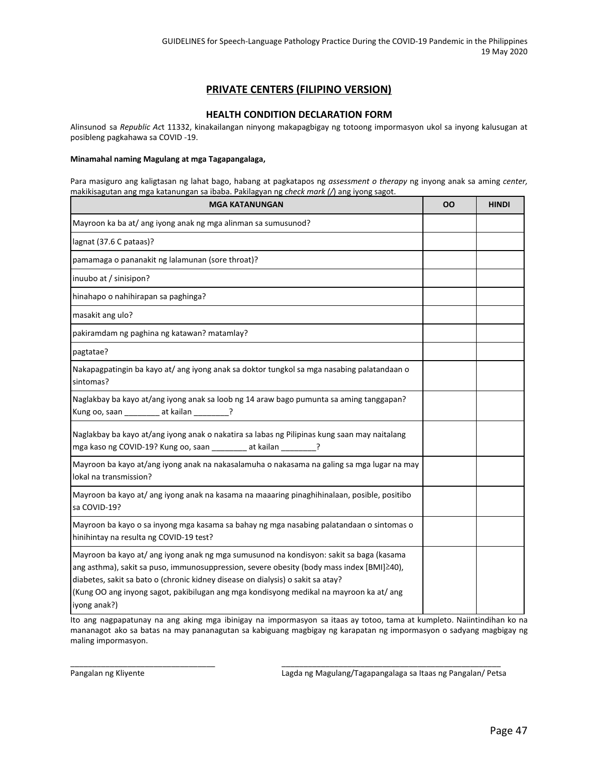#### **PRIVATE CENTERS (FILIPINO VERSION)**

#### **HEALTH CONDITION DECLARATION FORM**

Alinsunod sa *Republic Ac*t 11332, kinakailangan ninyong makapagbigay ng totoong impormasyon ukol sa inyong kalusugan at posibleng pagkahawa sa COVID -19.

#### **Minamahal naming Magulang at mga Tagapangalaga,**

Para masiguro ang kaligtasan ng lahat bago, habang at pagkatapos ng *assessment o therapy* ng inyong anak sa aming *center,* makikisagutan ang mga katanungan sa ibaba. Pakilagyan ng *check mark (/*) ang iyong sagot.

| <b>MGA KATANUNGAN</b>                                                                                                                                                                                                                                                                                                                                                             | OΟ | <b>HINDI</b> |
|-----------------------------------------------------------------------------------------------------------------------------------------------------------------------------------------------------------------------------------------------------------------------------------------------------------------------------------------------------------------------------------|----|--------------|
| Mayroon ka ba at/ ang iyong anak ng mga alinman sa sumusunod?                                                                                                                                                                                                                                                                                                                     |    |              |
| lagnat (37.6 C pataas)?                                                                                                                                                                                                                                                                                                                                                           |    |              |
| pamamaga o pananakit ng lalamunan (sore throat)?                                                                                                                                                                                                                                                                                                                                  |    |              |
| inuubo at / sinisipon?                                                                                                                                                                                                                                                                                                                                                            |    |              |
| hinahapo o nahihirapan sa paghinga?                                                                                                                                                                                                                                                                                                                                               |    |              |
| masakit ang ulo?                                                                                                                                                                                                                                                                                                                                                                  |    |              |
| pakiramdam ng paghina ng katawan? matamlay?                                                                                                                                                                                                                                                                                                                                       |    |              |
| pagtatae?                                                                                                                                                                                                                                                                                                                                                                         |    |              |
| Nakapagpatingin ba kayo at/ ang iyong anak sa doktor tungkol sa mga nasabing palatandaan o<br>sintomas?                                                                                                                                                                                                                                                                           |    |              |
| Naglakbay ba kayo at/ang iyong anak sa loob ng 14 araw bago pumunta sa aming tanggapan?<br>Kung oo, saan _________ at kailan _________?                                                                                                                                                                                                                                           |    |              |
| Naglakbay ba kayo at/ang iyong anak o nakatira sa labas ng Pilipinas kung saan may naitalang<br>mga kaso ng COVID-19? Kung oo, saan ________ at kailan ________?                                                                                                                                                                                                                  |    |              |
| Mayroon ba kayo at/ang iyong anak na nakasalamuha o nakasama na galing sa mga lugar na may<br>lokal na transmission?                                                                                                                                                                                                                                                              |    |              |
| Mayroon ba kayo at/ang iyong anak na kasama na maaaring pinaghihinalaan, posible, positibo<br>sa COVID-19?                                                                                                                                                                                                                                                                        |    |              |
| Mayroon ba kayo o sa inyong mga kasama sa bahay ng mga nasabing palatandaan o sintomas o<br>hinihintay na resulta ng COVID-19 test?                                                                                                                                                                                                                                               |    |              |
| Mayroon ba kayo at/ ang iyong anak ng mga sumusunod na kondisyon: sakit sa baga (kasama<br>ang asthma), sakit sa puso, immunosuppression, severe obesity (body mass index [BMI]≥40),<br>diabetes, sakit sa bato o (chronic kidney disease on dialysis) o sakit sa atay?<br>(Kung OO ang inyong sagot, pakibilugan ang mga kondisyong medikal na mayroon ka at/ang<br>iyong anak?) |    |              |

Ito ang nagpapatunay na ang aking mga ibinigay na impormasyon sa itaas ay totoo, tama at kumpleto. Naiintindihan ko na mananagot ako sa batas na may pananagutan sa kabiguang magbigay ng karapatan ng impormasyon o sadyang magbigay ng maling impormasyon.

\_\_\_\_\_\_\_\_\_\_\_\_\_\_\_\_\_\_\_\_\_\_\_\_\_\_\_\_\_\_\_\_\_ \_\_\_\_\_\_\_\_\_\_\_\_\_\_\_\_\_\_\_\_\_\_\_\_\_\_\_\_\_\_\_\_\_\_\_\_\_\_\_\_\_\_\_\_\_\_\_\_\_\_

Pangalan ng Kliyente **Lagda ng Magulang/Tagapangalaga sa Itaas ng Pangalan/ Petsa**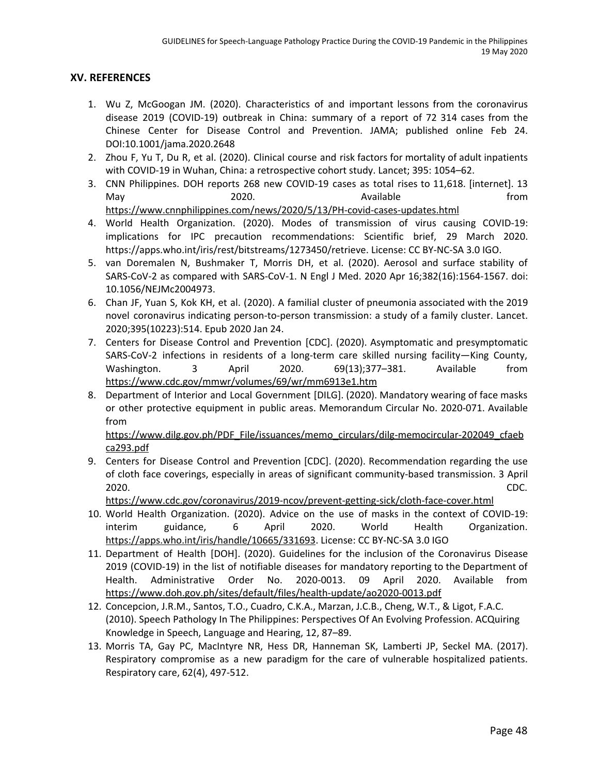#### **XV. REFERENCES**

- 1. Wu Z, McGoogan JM. (2020). Characteristics of and important lessons from the coronavirus disease 2019 (COVID-19) outbreak in China: summary of a report of 72 314 cases from the Chinese Center for Disease Control and Prevention. JAMA; published online Feb 24. DOI:10.1001/jama.2020.2648
- 2. Zhou F, Yu T, Du R, et al. (2020). Clinical course and risk factors for mortality of adult inpatients with COVID-19 in Wuhan, China: a retrospective cohort study. Lancet; 395: 1054–62.
- 3. CNN Philippines. DOH reports 268 new COVID-19 cases as total rises to 11,618. [internet]. 13 May 1980 2020. The Manual Available controller that the from <https://www.cnnphilippines.com/news/2020/5/13/PH-covid-cases-updates.html>
- 4. World Health Organization. (2020). Modes of transmission of virus causing COVID-19: implications for IPC precaution recommendations: Scientific brief, 29 March 2020. https://apps.who.int/iris/rest/bitstreams/1273450/retrieve. License: CC BY-NC-SA 3.0 IGO.
- 5. van Doremalen N, Bushmaker T, Morris DH, et al. (2020). Aerosol and surface stability of SARS-CoV-2 as compared with SARS-CoV-1. N Engl J Med. 2020 Apr 16;382(16):1564-1567. doi: 10.1056/NEJMc2004973.
- 6. Chan JF, Yuan S, Kok KH, et al. (2020). A familial cluster of pneumonia associated with the 2019 novel coronavirus indicating person-to-person transmission: a study of a family cluster. Lancet. 2020;395(10223):514. Epub 2020 Jan 24.
- 7. Centers for Disease Control and Prevention [CDC]. (2020). Asymptomatic and presymptomatic SARS-CoV-2 infections in residents of a long-term care skilled nursing facility—King County, Washington. 3 April 2020. 69(13);377–381. Available from <https://www.cdc.gov/mmwr/volumes/69/wr/mm6913e1.htm>
- 8. Department of Interior and Local Government [DILG]. (2020). Mandatory wearing of face masks or other protective equipment in public areas. Memorandum Circular No. 2020-071. Available from

[https://www.dilg.gov.ph/PDF\\_File/issuances/memo\\_circulars/dilg-memocircular-202049\\_cfaeb](https://www.dilg.gov.ph/PDF_File/issuances/memo_circulars/dilg-memocircular-202049_cfaebca293.pdf) [ca293.pdf](https://www.dilg.gov.ph/PDF_File/issuances/memo_circulars/dilg-memocircular-202049_cfaebca293.pdf)

9. Centers for Disease Control and Prevention [CDC]. (2020). Recommendation regarding the use of cloth face coverings, especially in areas of significant community-based transmission. 3 April 2020. CDC[.](https://www.cdc.gov/coronavirus/2019-ncov/prevent-getting-sick/cloth-face-cover.html)

<https://www.cdc.gov/coronavirus/2019-ncov/prevent-getting-sick/cloth-face-cover.html>

- 10. World Health Organization. (2020). Advice on the use of masks in the context of COVID-19: interim guidance, 6 April 2020. World Health Organization[.](https://apps.who.int/iris/handle/10665/331693) <https://apps.who.int/iris/handle/10665/331693>. License: CC BY-NC-SA 3.0 IGO
- 11. Department of Health [DOH]. (2020). Guidelines for the inclusion of the Coronavirus Disease 2019 (COVID-19) in the list of notifiable diseases for mandatory reporting to the Department of Health. Administrative Order No. 2020-0013. 09 April 2020. Available fro[m](https://www.doh.gov.ph/sites/default/files/health-update/ao2020-0013.pdf) <https://www.doh.gov.ph/sites/default/files/health-update/ao2020-0013.pdf>
- 12. Concepcion, J.R.M., Santos, T.O., Cuadro, C.K.A., Marzan, J.C.B., Cheng, W.T., & Ligot, F.A.C. (2010). Speech Pathology In The Philippines: Perspectives Of An Evolving Profession. ACQuiring Knowledge in Speech, Language and Hearing, 12, 87–89.
- 13. Morris TA, Gay PC, MacIntyre NR, Hess DR, Hanneman SK, Lamberti JP, Seckel MA. (2017). Respiratory compromise as a new paradigm for the care of vulnerable hospitalized patients. Respiratory care, 62(4), 497-512.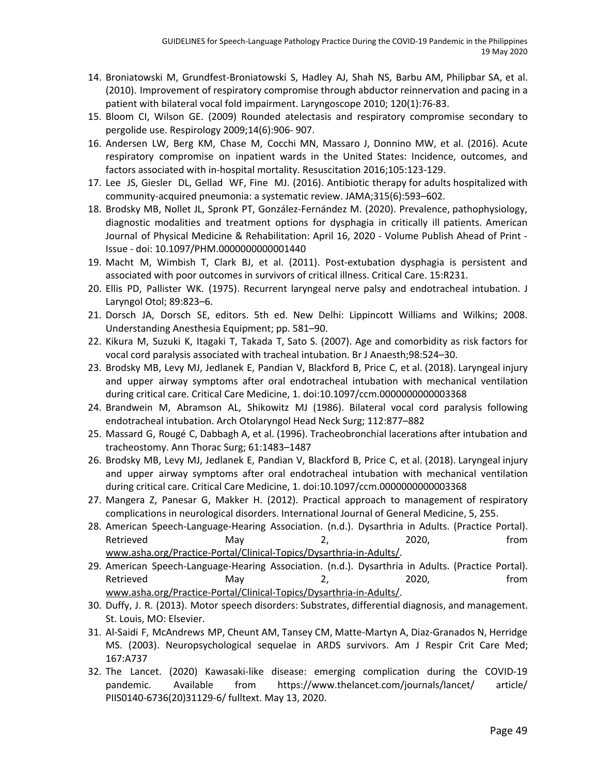- 14. Broniatowski M, Grundfest-Broniatowski S, Hadley AJ, Shah NS, Barbu AM, Philipbar SA, et al. (2010). Improvement of respiratory compromise through abductor reinnervation and pacing in a patient with bilateral vocal fold impairment. Laryngoscope 2010; 120(1):76-83.
- 15. Bloom CI, Wilson GE. (2009) Rounded atelectasis and respiratory compromise secondary to pergolide use. Respirology 2009;14(6):906- 907.
- 16. Andersen LW, Berg KM, Chase M, Cocchi MN, Massaro J, Donnino MW, et al. (2016). Acute respiratory compromise on inpatient wards in the United States: Incidence, outcomes, and factors associated with in-hospital mortality. Resuscitation 2016;105:123-129.
- 17. Lee JS, Giesler DL, Gellad WF, Fine MJ. (2016). Antibiotic therapy for adults hospitalized with community-acquired pneumonia: a systematic review. JAMA;315(6):593–602.
- 18. Brodsky MB, Nollet JL, Spronk PT, González-Fernández M. (2020). Prevalence, pathophysiology, diagnostic modalities and treatment options for dysphagia in critically ill patients. American Journal of Physical Medicine & Rehabilitation: April 16, 2020 - Volume Publish Ahead of Print - Issue - doi: 10.1097/PHM.0000000000001440
- 19. Macht M, Wimbish T, Clark BJ, et al. (2011). Post-extubation dysphagia is persistent and associated with poor outcomes in survivors of critical illness. Critical Care. 15:R231.
- 20. Ellis PD, Pallister WK. (1975). Recurrent laryngeal nerve palsy and endotracheal intubation. J Laryngol Otol; 89:823–6.
- 21. Dorsch JA, Dorsch SE, editors. 5th ed. New Delhi: Lippincott Williams and Wilkins; 2008. Understanding Anesthesia Equipment; pp. 581–90.
- 22. Kikura M, Suzuki K, Itagaki T, Takada T, Sato S. (2007). Age and comorbidity as risk factors for vocal cord paralysis associated with tracheal intubation. Br J Anaesth;98:524–30.
- 23. Brodsky MB, Levy MJ, Jedlanek E, Pandian V, Blackford B, Price C, et al. (2018). Laryngeal injury and upper airway symptoms after oral endotracheal intubation with mechanical ventilation during critical care. Critical Care Medicine, 1. doi:10.1097/ccm.0000000000003368
- 24. Brandwein M, Abramson AL, Shikowitz MJ (1986). Bilateral vocal cord paralysis following endotracheal intubation. Arch Otolaryngol Head Neck Surg; 112:877–882
- 25. Massard G, Rougé C, Dabbagh A, et al. (1996). Tracheobronchial lacerations after intubation and tracheostomy. Ann Thorac Surg; 61:1483–1487
- 26. Brodsky MB, Levy MJ, Jedlanek E, Pandian V, Blackford B, Price C, et al. (2018). Laryngeal injury and upper airway symptoms after oral endotracheal intubation with mechanical ventilation during critical care. Critical Care Medicine, 1. doi:10.1097/ccm.0000000000003368
- 27. Mangera Z, Panesar G, Makker H. (2012). Practical approach to management of respiratory complications in neurological disorders. International Journal of General Medicine, 5, 255.
- 28. American Speech-Language-Hearing Association. (n.d.). Dysarthria in Adults. (Practice Portal). Retrieved May 2, 2020, fro[m](http://www.asha.org/Practice-Portal/Clinical-Topics/Dysarthria-in-Adults/) [www.asha.org/Practice-Portal/Clinical-Topics/Dysarthria-in-Adults/.](http://www.asha.org/Practice-Portal/Clinical-Topics/Dysarthria-in-Adults/)
- 29. American Speech-Language-Hearing Association. (n.d.). Dysarthria in Adults. (Practice Portal). Retrieved May 2, 2020, fro[m](http://www.asha.org/Practice-Portal/Clinical-Topics/Dysarthria-in-Adults/) [www.asha.org/Practice-Portal/Clinical-Topics/Dysarthria-in-Adults/.](http://www.asha.org/Practice-Portal/Clinical-Topics/Dysarthria-in-Adults/)
- 30. Duffy, J. R. (2013). Motor speech disorders: Substrates, differential diagnosis, and management. St. Louis, MO: Elsevier.
- 31. Al-Saidi F, McAndrews MP, Cheunt AM, Tansey CM, Matte-Martyn A, Diaz-Granados N, Herridge MS. (2003). Neuropsychological sequelae in ARDS survivors. Am J Respir Crit Care Med; 167:A737
- 32. The Lancet. (2020) Kawasaki-like disease: emerging complication during the COVID-19 pandemic. Available from https://www.thelancet.com/journals/lancet/ article/ PIIS0140-6736(20)31129-6/ fulltext. May 13, 2020.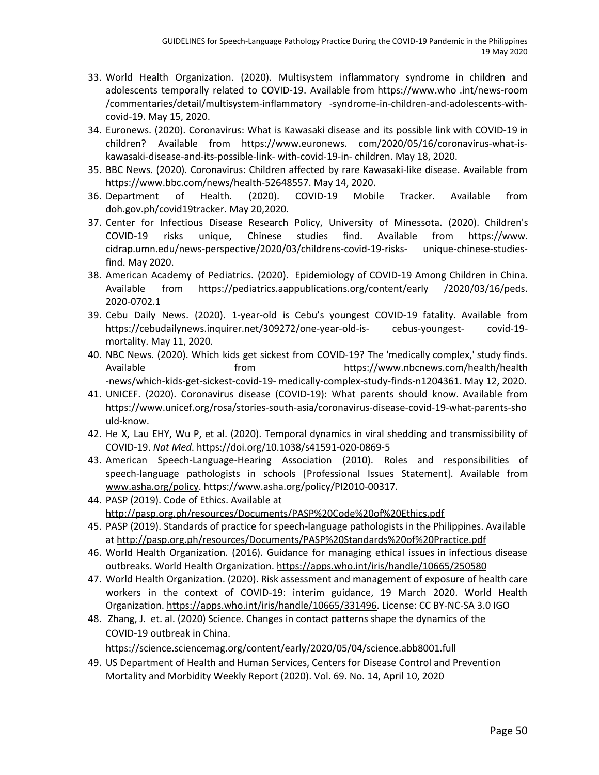- 33. World Health Organization. (2020). Multisystem inflammatory syndrome in children and adolescents temporally related to COVID-19. Available from https://www.who .int/news-room /commentaries/detail/multisystem-inflammatory -syndrome-in-children-and-adolescents-withcovid-19. May 15, 2020.
- 34. Euronews. (2020). Coronavirus: What is Kawasaki disease and its possible link with COVID-19 in children? Available from https://www.euronews. com/2020/05/16/coronavirus-what-iskawasaki-disease-and-its-possible-link- with-covid-19-in- children. May 18, 2020.
- 35. BBC News. (2020). Coronavirus: Children affected by rare Kawasaki-like disease. Available from https://www.bbc.com/news/health-52648557. May 14, 2020.
- 36. Department of Health. (2020). COVID-19 Mobile Tracker. Available from doh.gov.ph/covid19tracker. May 20,2020.
- 37. Center for Infectious Disease Research Policy, University of Minessota. (2020). Children's COVID-19 risks unique, Chinese studies find. Available from https://www. cidrap.umn.edu/news-perspective/2020/03/childrens-covid-19-risks- unique-chinese-studiesfind. May 2020.
- 38. American Academy of Pediatrics. (2020). Epidemiology of COVID-19 Among Children in China. Available from https://pediatrics.aappublications.org/content/early /2020/03/16/peds. 2020-0702.1
- 39. Cebu Daily News. (2020). 1-year-old is Cebu's youngest COVID-19 fatality. Available from https://cebudailynews.inquirer.net/309272/one-year-old-is- cebus-youngest- covid-19 mortality. May 11, 2020.
- 40. NBC News. (2020). Which kids get sickest from COVID-19? The 'medically complex,' study finds. Available from https://www.nbcnews.com/health/health -news/which-kids-get-sickest-covid-19- medically-complex-study-finds-n1204361. May 12, 2020.
- 41. UNICEF. (2020). Coronavirus disease (COVID-19): What parents should know. Available from [https://www.unicef.org/rosa/stories-south-asia/coronavirus-disease-covid-19-what-parents-s](https://www.unicef.org/rosa/stories-south-asia/coronavirus-disease-covid-19-what-parents-)ho uld-know.
- 42. He X, Lau EHY, Wu P, et al. (2020). Temporal dynamics in viral shedding and transmissibility of COVID-19. *Nat Med*. <https://doi.org/10.1038/s41591-020-0869-5>
- 43. American Speech-Language-Hearing Association (2010). Roles and responsibilities of speech-language pathologists in schools [Professional Issues Statement]. Available from [www.asha.org/policy](http://www.asha.org/policy). https://www.asha.org/policy/PI2010-00317.
- 44. PASP (2019). Code of Ethics. Available a[t](http://pasp.org.ph/resources/Documents/PASP%20Code%20of%20Ethics.pdf) <http://pasp.org.ph/resources/Documents/PASP%20Code%20of%20Ethics.pdf>
- 45. PASP (2019). Standards of practice for speech-language pathologists in the Philippines. Available at <http://pasp.org.ph/resources/Documents/PASP%20Standards%20of%20Practice.pdf>
- 46. World Health Organization. (2016). Guidance for managing ethical issues in infectious disease outbreaks. World Health Organization[.](https://apps.who.int/iris/handle/10665/250580) <https://apps.who.int/iris/handle/10665/250580>
- 47. World Health Organization. (2020). Risk assessment and management of exposure of health care workers in the context of COVID-19: interim guidance, 19 March 2020. World Health Organization[.](https://apps.who.int/iris/handle/10665/331496) [https://apps.who.int/iris/handle/10665/331496.](https://apps.who.int/iris/handle/10665/331496) License: CC BY-NC-SA 3.0 IGO
- 48. Zhang, J. et. al. (2020) Science. Changes in contact patterns shape the dynamics of the COVID-19 outbreak in China.

<https://science.sciencemag.org/content/early/2020/05/04/science.abb8001.full>

49. US Department of Health and Human Services, Centers for Disease Control and Prevention Mortality and Morbidity Weekly Report (2020). Vol. 69. No. 14, April 10, 2020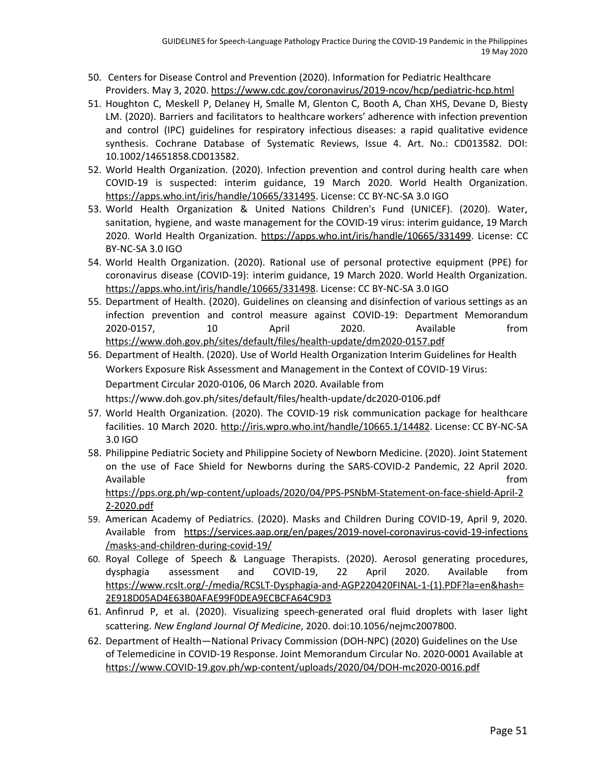- 50. Centers for Disease Control and Prevention (2020). Information for Pediatric Healthcare Providers. May 3, 2020. <https://www.cdc.gov/coronavirus/2019-ncov/hcp/pediatric-hcp.html>
- 51. Houghton C, Meskell P, Delaney H, Smalle M, Glenton C, Booth A, Chan XHS, Devane D, Biesty LM. (2020). Barriers and facilitators to healthcare workers' adherence with infection prevention and control (IPC) guidelines for respiratory infectious diseases: a rapid qualitative evidence synthesis. Cochrane Database of Systematic Reviews, Issue 4. Art. No.: CD013582. DOI: 10.1002/14651858.CD013582.
- 52. World Health Organization. (2020). Infection prevention and control during health care when COVID-19 is suspected: interim guidance, 19 March 2020. World Health Organization[.](https://apps.who.int/iris/handle/10665/331495) <https://apps.who.int/iris/handle/10665/331495>. License: CC BY-NC-SA 3.0 IGO
- 53. World Health Organization & United Nations Children's Fund (UNICEF). (2020). Water, sanitation, hygiene, and waste management for the COVID-19 virus: interim guidance, 19 March 2020[.](https://apps.who.int/iris/handle/10665/331499) World Health Organization. [https://apps.who.int/iris/handle/10665/331499.](https://apps.who.int/iris/handle/10665/331499) License: CC BY-NC-SA 3.0 IGO
- 54. World Health Organization. (2020). Rational use of personal protective equipment (PPE) for coronavirus disease (COVID-19): interim guidance, 19 March 2020. World Health Organization[.](https://apps.who.int/iris/handle/10665/331498) <https://apps.who.int/iris/handle/10665/331498>. License: CC BY-NC-SA 3.0 IGO
- 55. Department of Health. (2020). Guidelines on cleansing and disinfection of various settings as an infection prevention and control measure against COVID-19: Department Memorandum 2020-0157, 10 April 2020. Available from <https://www.doh.gov.ph/sites/default/files/health-update/dm2020-0157.pdf>
- 56. Department of Health. (2020). Use of World Health Organization Interim Guidelines for Health Workers Exposure Risk Assessment and Management in the Context of COVID-19 Virus: Department Circular 2020-0106, 06 March 2020. Available fro[m](https://www.doh.gov.ph/sites/default/files/health-update/dc2020-0106.pdf) <https://www.doh.gov.ph/sites/default/files/health-update/dc2020-0106.pdf>
- 57. World Health Organization. (2020). The COVID-19 risk communication package for healthcare facilities. 10 March 2020. [http://iris.wpro.who.int/handle/10665.1/14482.](http://iris.wpro.who.int/handle/10665.1/14482) License: CC BY-NC-SA 3.0 IGO
- 58. Philippine Pediatric Society and Philippine Society of Newborn Medicine. (2020). Joint Statement on the use of Face Shield for Newborns during the SARS-COVID-2 Pandemic, 22 April 2020. Available **the contract of the contract of the contract of the contract of the contract of the contract of the contract of the contract of the contract of the contract of the contract of the contract of the contract of the** [https://pps.org.ph/wp-content/uploads/2020/04/PPS-PSNbM-Statement-on-face-shield-April-2](https://pps.org.ph/wp-content/uploads/2020/04/PPS-PSNbM-Statement-on-face-shield-April-22-2020.pdfm) [2-2020.pdf](https://pps.org.ph/wp-content/uploads/2020/04/PPS-PSNbM-Statement-on-face-shield-April-22-2020.pdfm)
- 59. American Academy of Pediatrics. (2020). Masks and Children During COVID-19, April 9, 2020. Available from <https://services.aap.org/en/pages/2019-novel-coronavirus-covid-19-infections> /masks-and-children-during-covid-19/
- 60. Royal College of Speech & Language Therapists. (2020). Aerosol generating procedures, dysphagia assessment and COVID-19, 22 April 2020. Available from [https://www.rcslt.org/-/media/RCSLT-Dysphagia-and-AGP220420FINAL-1-\(1\).PDF?la=en&hash=](https://www.rcslt.org/-/media/RCSLT-Dysphagia-and-AGP220420FINAL-1-(1).PDF?la=en&hash=2E918D05AD4E63B0AFAE99F0DEA9ECBCFA64C9D3) [2E918D05AD4E63B0AFAE99F0DEA9ECBCFA64C9D3](https://www.rcslt.org/-/media/RCSLT-Dysphagia-and-AGP220420FINAL-1-(1).PDF?la=en&hash=2E918D05AD4E63B0AFAE99F0DEA9ECBCFA64C9D3)
- 61. Anfinrud P, et al. (2020). Visualizing speech-generated oral fluid droplets with laser light scattering. *New England Journal Of Medicine*, 2020. doi:10.1056/nejmc2007800.
- 62. Department of Health—National Privacy Commission (DOH-NPC) (2020) Guidelines on the Use of Telemedicine in COVID-19 Response. Joint Memorandum Circular No. 2020-0001 Available at [https://www.COVID-19.gov.ph/wp-content/uploads/2020/04/DOH-mc2020-0016.pdf](https://www.covid-19.gov.ph/wp-content/uploads/2020/04/DOH-mc2020-0016.pdf)